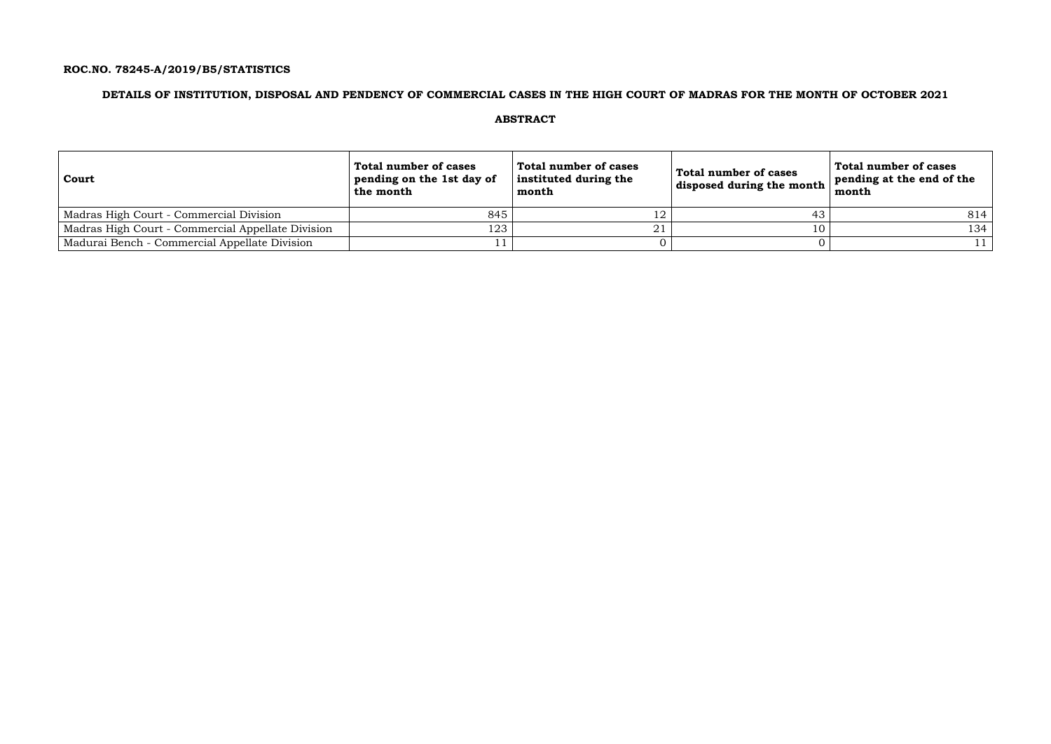## **ROC.NO. 78245-A/2019/B5/STATISTICS**

### **DETAILS OF INSTITUTION, DISPOSAL AND PENDENCY OF COMMERCIAL CASES IN THE HIGH COURT OF MADRAS FOR THE MONTH OF OCTOBER 2021**

### **ABSTRACT**

| Court                                             | Total number of cases<br>pending on the 1st day of<br>the month | Total number of cases<br>instituted during the<br>month | <b>Total number of cases</b><br>disposed during the month $\vert$ | Total number of cases<br>pending at the end of the<br>month |
|---------------------------------------------------|-----------------------------------------------------------------|---------------------------------------------------------|-------------------------------------------------------------------|-------------------------------------------------------------|
| Madras High Court - Commercial Division           | 845                                                             |                                                         |                                                                   | 814                                                         |
| Madras High Court - Commercial Appellate Division | 123                                                             | 21                                                      |                                                                   | 134                                                         |
| Madurai Bench - Commercial Appellate Division     |                                                                 |                                                         |                                                                   |                                                             |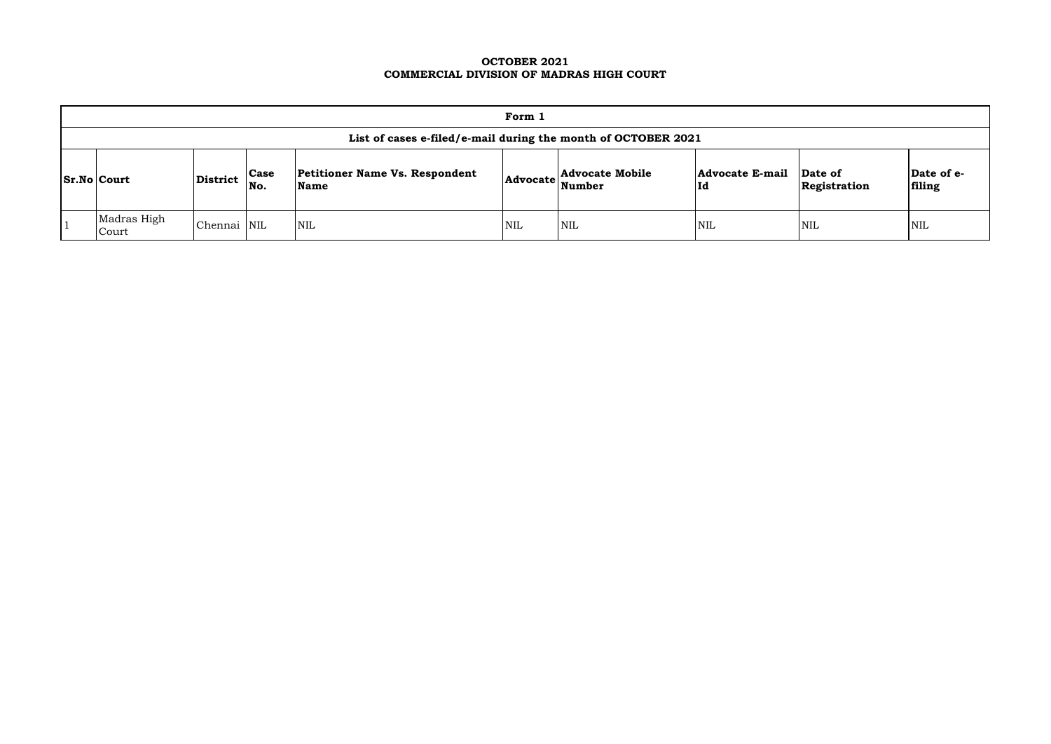### **OCTOBER 2021 COMMERCIAL DIVISION OF MADRAS HIGH COURT**

|                                                                                                                                             | Form 1                                                        |             |  |            |            |            |                               |                         |                      |  |  |  |
|---------------------------------------------------------------------------------------------------------------------------------------------|---------------------------------------------------------------|-------------|--|------------|------------|------------|-------------------------------|-------------------------|----------------------|--|--|--|
|                                                                                                                                             | List of cases e-filed/e-mail during the month of OCTOBER 2021 |             |  |            |            |            |                               |                         |                      |  |  |  |
| <b>Petitioner Name Vs. Respondent</b><br>Advocate Advocate Mobile<br><b>Case</b><br><b>Sr.No Court</b><br>District<br>Number<br>Name<br>No. |                                                               |             |  |            |            |            | <b>Advocate E-mail</b><br> Id | Date of<br>Registration | Date of e-<br>filing |  |  |  |
|                                                                                                                                             | Madras High<br>Court                                          | Chennai NIL |  | <b>NIL</b> | <b>NIL</b> | <b>NIL</b> | <b>NIL</b>                    | <b>NIL</b>              | <b>NIL</b>           |  |  |  |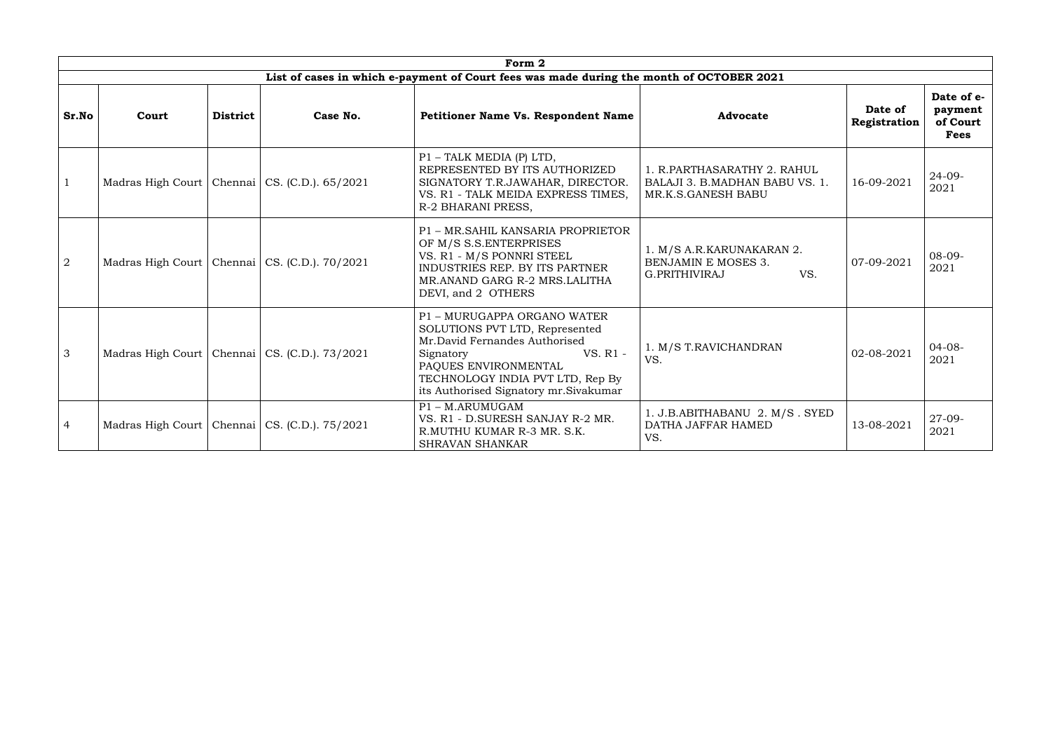|                | Form 2                      |                             |                                                   |                                                                                                                                                                                                                               |                                                                                        |                         |                                                  |  |  |  |  |
|----------------|-----------------------------|-----------------------------|---------------------------------------------------|-------------------------------------------------------------------------------------------------------------------------------------------------------------------------------------------------------------------------------|----------------------------------------------------------------------------------------|-------------------------|--------------------------------------------------|--|--|--|--|
|                |                             |                             |                                                   | List of cases in which e-payment of Court fees was made during the month of OCTOBER 2021                                                                                                                                      |                                                                                        |                         |                                                  |  |  |  |  |
| Sr.No          | Court                       | <b>District</b><br>Case No. |                                                   | <b>Petitioner Name Vs. Respondent Name</b><br><b>Advocate</b>                                                                                                                                                                 |                                                                                        | Date of<br>Registration | Date of e-<br>payment<br>of Court<br><b>Fees</b> |  |  |  |  |
| $\mathbf{1}$   |                             |                             | Madras High Court   Chennai   CS. (C.D.). 65/2021 | P1 - TALK MEDIA (P) LTD,<br>REPRESENTED BY ITS AUTHORIZED<br>SIGNATORY T.R.JAWAHAR, DIRECTOR.<br>VS. R1 - TALK MEIDA EXPRESS TIMES,<br>R-2 BHARANI PRESS,                                                                     | 1. R.PARTHASARATHY 2. RAHUL<br>BALAJI 3. B.MADHAN BABU VS. 1.<br>MR.K.S.GANESH BABU    | 16-09-2021              | $24 - 09 -$<br>2021                              |  |  |  |  |
| $\overline{2}$ |                             |                             | Madras High Court   Chennai   CS. (C.D.). 70/2021 | P1 - MR.SAHIL KANSARIA PROPRIETOR<br>OF M/S S.S.ENTERPRISES<br>VS. R1 - M/S PONNRI STEEL<br>INDUSTRIES REP. BY ITS PARTNER<br>MR.ANAND GARG R-2 MRS.LALITHA<br>DEVI, and 2 OTHERS                                             | 1. M/S A.R.KARUNAKARAN 2.<br><b>BENJAMIN E MOSES 3.</b><br>VS.<br><b>G.PRITHIVIRAJ</b> | 07-09-2021              | $08-09-$<br>2021                                 |  |  |  |  |
| 3              |                             |                             | Madras High Court   Chennai   CS. (C.D.). 73/2021 | P1 - MURUGAPPA ORGANO WATER<br>SOLUTIONS PVT LTD, Represented<br>Mr.David Fernandes Authorised<br>VS. R1 -<br>Signatory<br>PAQUES ENVIRONMENTAL<br>TECHNOLOGY INDIA PVT LTD, Rep By<br>its Authorised Signatory mr. Sivakumar | 1. M/S T.RAVICHANDRAN<br>VS.                                                           | 02-08-2021              | $04 - 08 -$<br>2021                              |  |  |  |  |
| $\overline{4}$ | Madras High Court   Chennai |                             | $\vert$ CS. (C.D.). 75/2021                       | P1-M.ARUMUGAM<br>VS. R1 - D.SURESH SANJAY R-2 MR.<br>R.MUTHU KUMAR R-3 MR. S.K.<br><b>SHRAVAN SHANKAR</b>                                                                                                                     | 1. J.B.ABITHABANU 2. M/S. SYED<br>DATHA JAFFAR HAMED<br>VS.                            | 13-08-2021              | $27 - 09 -$<br>2021                              |  |  |  |  |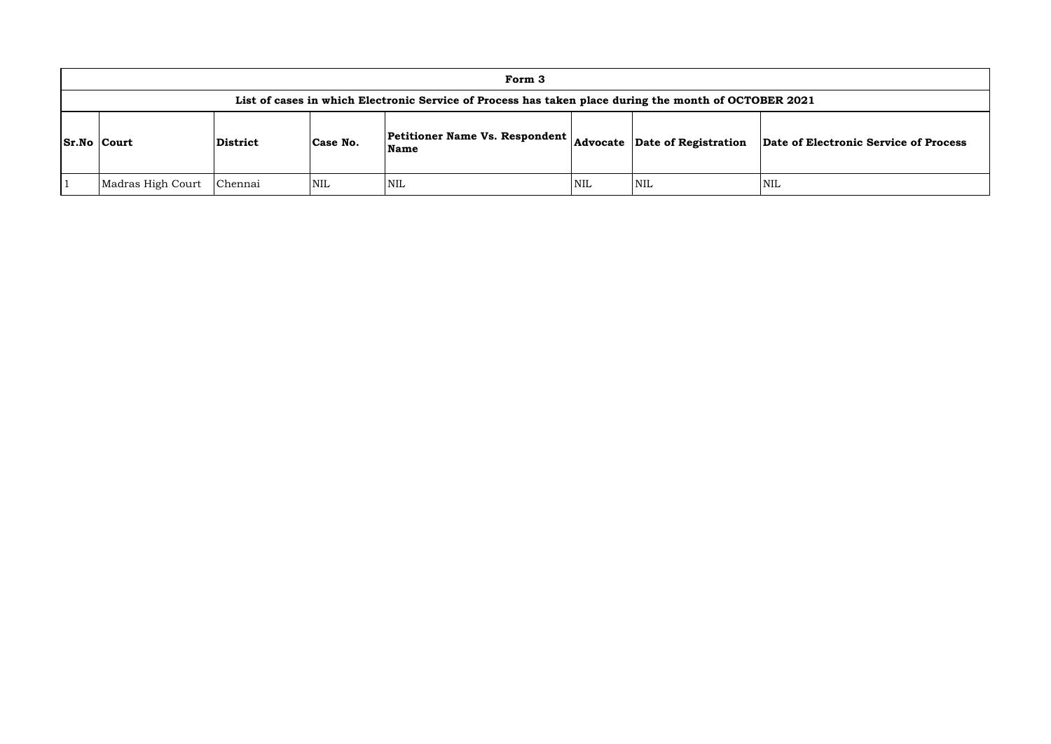|                    | Form 3                                                                                                |          |          |                                                                                             |     |            |            |  |  |  |  |
|--------------------|-------------------------------------------------------------------------------------------------------|----------|----------|---------------------------------------------------------------------------------------------|-----|------------|------------|--|--|--|--|
|                    | List of cases in which Electronic Service of Process has taken place during the month of OCTOBER 2021 |          |          |                                                                                             |     |            |            |  |  |  |  |
| <b>Sr.No Court</b> |                                                                                                       | District | Case No. | Petitioner Name Vs. Respondent $\vert$ Advocate $\vert$ Date of Registration<br><b>Name</b> |     |            | Date of El |  |  |  |  |
|                    | Madras High Court                                                                                     | Chennai  | NIL      | <b>NIL</b>                                                                                  | NIL | <b>NIL</b> | <b>NIL</b> |  |  |  |  |

**Advocate Date of Registration Date of Electronic Service of Process**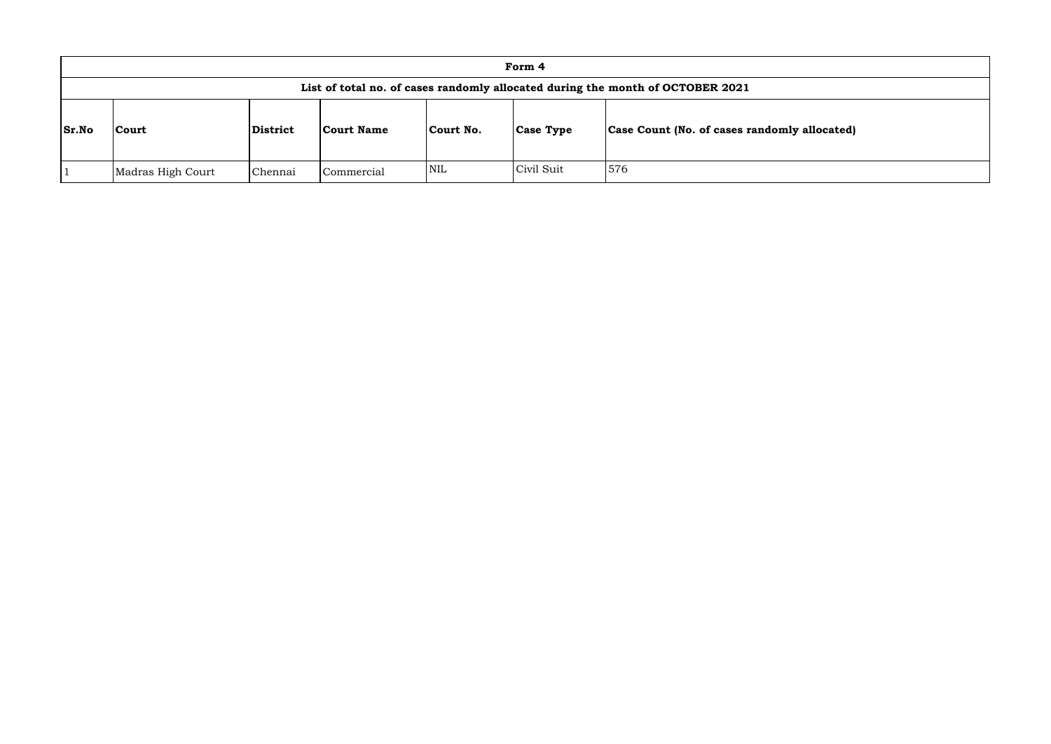|              |                   |          |                   |            | Form 4           |                                                                                |
|--------------|-------------------|----------|-------------------|------------|------------------|--------------------------------------------------------------------------------|
|              |                   |          |                   |            |                  | List of total no. of cases randomly allocated during the month of OCTOBER 2021 |
| <b>Sr.No</b> | Court             | District | <b>Court Name</b> | Court No.  | <b>Case Type</b> | <b>Case Count (No. of cases randomly allocated)</b>                            |
|              | Madras High Court | Chennai  | Commercial        | <b>NIL</b> | Civil Suit       | 576                                                                            |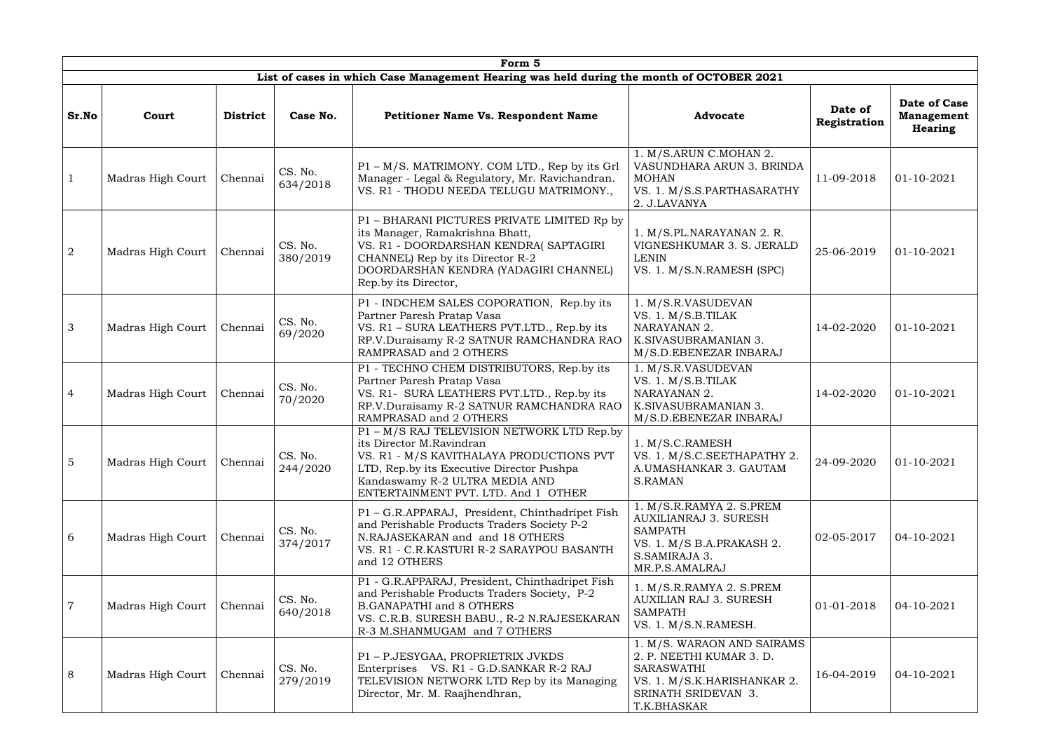|                 |                   |                 |                     | Form 5                                                                                                                                                                                                                                   |                                                                                                                                            |                         |                                              |
|-----------------|-------------------|-----------------|---------------------|------------------------------------------------------------------------------------------------------------------------------------------------------------------------------------------------------------------------------------------|--------------------------------------------------------------------------------------------------------------------------------------------|-------------------------|----------------------------------------------|
|                 |                   |                 |                     | List of cases in which Case Management Hearing was held during the month of OCTOBER 2021                                                                                                                                                 |                                                                                                                                            |                         |                                              |
| Sr.No           | Court             | <b>District</b> | Case No.            | <b>Petitioner Name Vs. Respondent Name</b>                                                                                                                                                                                               | <b>Advocate</b>                                                                                                                            | Date of<br>Registration | Date of Case<br><b>Management</b><br>Hearing |
| $\mathbf{1}$    | Madras High Court | Chennai         | CS. No.<br>634/2018 | P1 – M/S. MATRIMONY. COM LTD., Rep by its Grl<br>Manager - Legal & Regulatory, Mr. Ravichandran.<br>VS. R1 - THODU NEEDA TELUGU MATRIMONY.,                                                                                              | 1. M/S.ARUN C.MOHAN 2.<br>VASUNDHARA ARUN 3. BRINDA<br><b>MOHAN</b><br>VS. 1. M/S.S.PARTHASARATHY<br>2. J.LAVANYA                          | 11-09-2018              | $01 - 10 - 2021$                             |
| 2               | Madras High Court | Chennai         | CS. No.<br>380/2019 | P1 - BHARANI PICTURES PRIVATE LIMITED Rp by<br>its Manager, Ramakrishna Bhatt,<br>VS. R1 - DOORDARSHAN KENDRA(SAPTAGIRI<br>CHANNEL) Rep by its Director R-2<br>DOORDARSHAN KENDRA (YADAGIRI CHANNEL)<br>Rep.by its Director,             | 1. M/S.PL.NARAYANAN 2. R.<br>VIGNESHKUMAR 3. S. JERALD<br>LENIN<br>VS. 1. M/S.N.RAMESH (SPC)                                               | 25-06-2019              | $01 - 10 - 2021$                             |
| $\mathcal{S}$   | Madras High Court | Chennai         | CS. No.<br>69/2020  | P1 - INDCHEM SALES COPORATION, Rep.by its<br>Partner Paresh Pratap Vasa<br>VS. R1 - SURA LEATHERS PVT.LTD., Rep.by its<br>RP.V.Duraisamy R-2 SATNUR RAMCHANDRA RAO<br>RAMPRASAD and 2 OTHERS                                             | 1. M/S.R.VASUDEVAN<br>VS. 1. M/S.B.TILAK<br>NARAYANAN 2.<br>K.SIVASUBRAMANIAN 3.<br>M/S.D.EBENEZAR INBARAJ                                 | 14-02-2020              | $01 - 10 - 2021$                             |
| $\overline{4}$  | Madras High Court | Chennai         | CS. No.<br>70/2020  | P1 - TECHNO CHEM DISTRIBUTORS, Rep.by its<br>Partner Paresh Pratap Vasa<br>VS. R1- SURA LEATHERS PVT.LTD., Rep.by its<br>RP.V.Duraisamy R-2 SATNUR RAMCHANDRA RAO<br>RAMPRASAD and 2 OTHERS                                              | 1. M/S.R.VASUDEVAN<br>VS. 1. M/S.B.TILAK<br>NARAYANAN 2.<br>K.SIVASUBRAMANIAN 3.<br>M/S.D.EBENEZAR INBARAJ                                 | 14-02-2020              | $01 - 10 - 2021$                             |
| $5\overline{5}$ | Madras High Court | Chennai         | CS. No.<br>244/2020 | P1 - M/S RAJ TELEVISION NETWORK LTD Rep.by<br>its Director M.Ravindran<br>VS. R1 - M/S KAVITHALAYA PRODUCTIONS PVT<br>LTD, Rep.by its Executive Director Pushpa<br>Kandaswamy R-2 ULTRA MEDIA AND<br>ENTERTAINMENT PVT. LTD. And 1 OTHER | 1. M/S.C.RAMESH<br>VS. 1. M/S.C.SEETHAPATHY 2.<br>A.UMASHANKAR 3. GAUTAM<br><b>S.RAMAN</b>                                                 | 24-09-2020              | 01-10-2021                                   |
| 6               | Madras High Court | Chennai         | CS. No.<br>374/2017 | P1 - G.R.APPARAJ, President, Chinthadripet Fish<br>and Perishable Products Traders Society P-2<br>N.RAJASEKARAN and and 18 OTHERS<br>VS. R1 - C.R.KASTURI R-2 SARAYPOU BASANTH<br>and 12 OTHERS                                          | 1. M/S.R.RAMYA 2. S.PREM<br><b>AUXILIANRAJ 3. SURESH</b><br><b>SAMPATH</b><br>VS. 1. M/S B.A.PRAKASH 2.<br>S.SAMIRAJA 3.<br>MR.P.S.AMALRAJ | 02-05-2017              | 04-10-2021                                   |
| $\overline{7}$  | Madras High Court | Chennai         | CS. No.<br>640/2018 | P1 - G.R.APPARAJ, President, Chinthadripet Fish<br>and Perishable Products Traders Society, P-2<br><b>B.GANAPATHI and 8 OTHERS</b><br>VS. C.R.B. SURESH BABU., R-2 N.RAJESEKARAN<br>R-3 M.SHANMUGAM and 7 OTHERS                         | 1. M/S.R.RAMYA 2. S.PREM<br>AUXILIAN RAJ 3. SURESH<br><b>SAMPATH</b><br>VS. 1. M/S.N.RAMESH.                                               | 01-01-2018              | 04-10-2021                                   |
| 8               | Madras High Court | Chennai         | CS. No.<br>279/2019 | P1 - P.JESYGAA, PROPRIETRIX JVKDS<br>Enterprises VS. R1 - G.D.SANKAR R-2 RAJ<br>TELEVISION NETWORK LTD Rep by its Managing<br>Director, Mr. M. Raajhendhran,                                                                             | 1. M/S. WARAON AND SAIRAMS<br>2. P. NEETHI KUMAR 3. D.<br>SARASWATHI<br>VS. 1. M/S.K.HARISHANKAR 2.<br>SRINATH SRIDEVAN 3.<br>T.K.BHASKAR  | 16-04-2019              | 04-10-2021                                   |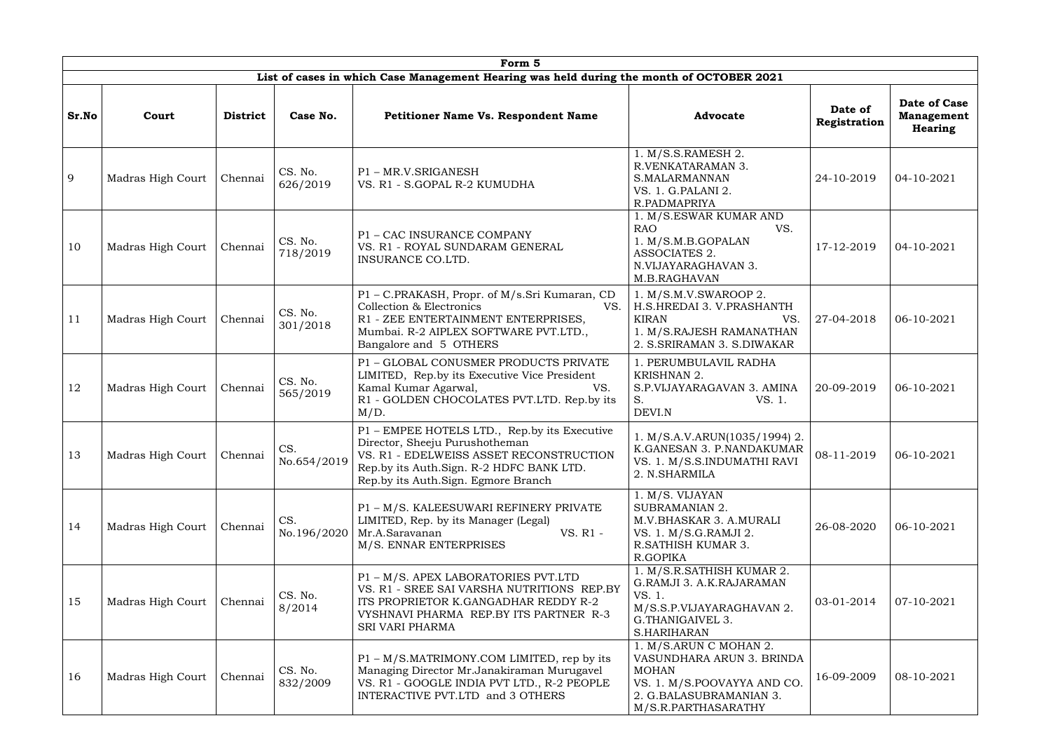|       | Form 5<br>List of cases in which Case Management Hearing was held during the month of OCTOBER 2021 |                 |                                      |                                                                                                                                                                                                              |                                                                                                                                                      |                         |                                                     |  |  |  |  |  |  |
|-------|----------------------------------------------------------------------------------------------------|-----------------|--------------------------------------|--------------------------------------------------------------------------------------------------------------------------------------------------------------------------------------------------------------|------------------------------------------------------------------------------------------------------------------------------------------------------|-------------------------|-----------------------------------------------------|--|--|--|--|--|--|
|       |                                                                                                    |                 |                                      |                                                                                                                                                                                                              |                                                                                                                                                      |                         |                                                     |  |  |  |  |  |  |
| Sr.No | Court                                                                                              | <b>District</b> | Case No.                             | <b>Petitioner Name Vs. Respondent Name</b>                                                                                                                                                                   | <b>Advocate</b>                                                                                                                                      | Date of<br>Registration | Date of Case<br><b>Management</b><br><b>Hearing</b> |  |  |  |  |  |  |
| 9     | Madras High Court                                                                                  | Chennai         | CS. No.<br>626/2019                  | P1-MR.V.SRIGANESH<br>VS. R1 - S.GOPAL R-2 KUMUDHA                                                                                                                                                            | 1. M/S.S.RAMESH 2.<br>R.VENKATARAMAN 3.<br>S.MALARMANNAN<br>VS. 1. G.PALANI 2.<br>R.PADMAPRIYA                                                       | 24-10-2019              | 04-10-2021                                          |  |  |  |  |  |  |
| 10    | Madras High Court                                                                                  | Chennai         | CS. No.<br>718/2019                  | P1 - CAC INSURANCE COMPANY<br>VS. R1 - ROYAL SUNDARAM GENERAL<br>INSURANCE CO.LTD.                                                                                                                           | 1. M/S.ESWAR KUMAR AND<br><b>RAO</b><br>VS.<br>1. M/S.M.B.GOPALAN<br>ASSOCIATES 2.<br>N.VIJAYARAGHAVAN 3.<br>M.B.RAGHAVAN                            | 17-12-2019              | 04-10-2021                                          |  |  |  |  |  |  |
| 11    | Madras High Court                                                                                  | Chennai         | CS. No.<br>301/2018                  | P1 - C.PRAKASH, Propr. of M/s.Sri Kumaran, CD<br>Collection & Electronics<br>VS.<br>R1 - ZEE ENTERTAINMENT ENTERPRISES,<br>Mumbai. R-2 AIPLEX SOFTWARE PVT.LTD.,<br>Bangalore and 5 OTHERS                   | 1. M/S.M.V.SWAROOP 2.<br>H.S.HREDAI 3. V.PRASHANTH<br><b>KIRAN</b><br>VS.<br>1. M/S.RAJESH RAMANATHAN<br>2. S.SRIRAMAN 3. S.DIWAKAR                  | 27-04-2018              | 06-10-2021                                          |  |  |  |  |  |  |
| 12    | Madras High Court                                                                                  | Chennai         | CS. No.<br>565/2019                  | P1 - GLOBAL CONUSMER PRODUCTS PRIVATE<br>LIMITED, Rep.by its Executive Vice President<br>Kamal Kumar Agarwal,<br>VS.<br>R1 - GOLDEN CHOCOLATES PVT.LTD. Rep.by its<br>$M/D$ .                                | 1. PERUMBULAVIL RADHA<br>KRISHNAN 2.<br>S.P.VIJAYARAGAVAN 3. AMINA<br>VS. 1.<br>S.<br>DEVI.N                                                         | 20-09-2019              | 06-10-2021                                          |  |  |  |  |  |  |
| 13    | Madras High Court                                                                                  | Chennai         | $\overline{C}$<br>UW.<br>No.654/2019 | P1 - EMPEE HOTELS LTD., Rep.by its Executive<br>Director, Sheeju Purushotheman<br>VS. R1 - EDELWEISS ASSET RECONSTRUCTION<br>Rep.by its Auth.Sign. R-2 HDFC BANK LTD.<br>Rep.by its Auth.Sign. Egmore Branch | 1. M/S.A.V.ARUN(1035/1994) 2.<br>K.GANESAN 3. P.NANDAKUMAR<br>VS. 1. M/S.S.INDUMATHI RAVI<br>2. N.SHARMILA                                           | 08-11-2019              | 06-10-2021                                          |  |  |  |  |  |  |
| 14    | Madras High Court                                                                                  | Chennai         | CS.<br>No.196/2020                   | P1 - M/S. KALEESUWARI REFINERY PRIVATE<br>LIMITED, Rep. by its Manager (Legal)<br>Mr.A.Saravanan<br>VS. R1 -<br>M/S. ENNAR ENTERPRISES                                                                       | 1. M/S. VIJAYAN<br><b>SUBRAMANIAN 2.</b><br>M.V.BHASKAR 3. A.MURALI<br>VS. 1. M/S.G.RAMJI 2.<br>R.SATHISH KUMAR 3.<br>R.GOPIKA                       | 26-08-2020              | 06-10-2021                                          |  |  |  |  |  |  |
| 15    | Madras High Court                                                                                  | Chennai         | CS. No.<br>8/2014                    | P1 - M/S. APEX LABORATORIES PVT.LTD<br>VS. R1 - SREE SAI VARSHA NUTRITIONS REP.BY<br>ITS PROPRIETOR K.GANGADHAR REDDY R-2<br>VYSHNAVI PHARMA REP.BY ITS PARTNER R-3<br><b>SRI VARI PHARMA</b>                | 1. M/S.R.SATHISH KUMAR 2.<br>G.RAMJI 3. A.K.RAJARAMAN<br>VS. 1.<br>M/S.S.P.VIJAYARAGHAVAN 2.<br>G.THANIGAIVEL 3.<br>S.HARIHARAN                      | 03-01-2014              | 07-10-2021                                          |  |  |  |  |  |  |
| 16    | Madras High Court                                                                                  | Chennai         | CS. No.<br>832/2009                  | $P1 - M/S.MATRIMONY. COM LIMITED$ , rep by its<br>Managing Director Mr.Janakiraman Murugavel<br>VS. R1 - GOOGLE INDIA PVT LTD., R-2 PEOPLE<br>INTERACTIVE PVT.LTD and 3 OTHERS                               | 1. M/S.ARUN C MOHAN 2.<br>VASUNDHARA ARUN 3. BRINDA<br><b>MOHAN</b><br>VS. 1. M/S.POOVAYYA AND CO.<br>2. G.BALASUBRAMANIAN 3.<br>M/S.R.PARTHASARATHY | 16-09-2009              | 08-10-2021                                          |  |  |  |  |  |  |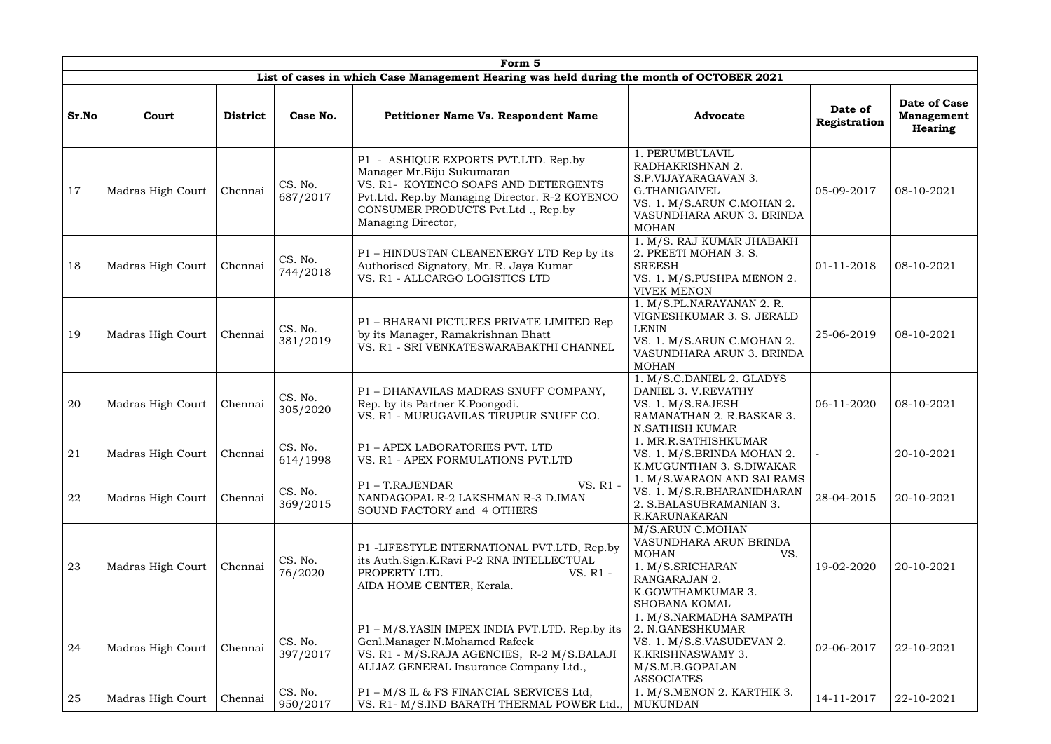|       |                   |                 |                     | Form <sub>5</sub>                                                                                                                                                                                                       |                                                                                                                                                        |                         |                                                     |
|-------|-------------------|-----------------|---------------------|-------------------------------------------------------------------------------------------------------------------------------------------------------------------------------------------------------------------------|--------------------------------------------------------------------------------------------------------------------------------------------------------|-------------------------|-----------------------------------------------------|
|       |                   |                 |                     | List of cases in which Case Management Hearing was held during the month of OCTOBER 2021                                                                                                                                |                                                                                                                                                        |                         |                                                     |
| Sr.No | Court             | <b>District</b> | Case No.            | <b>Petitioner Name Vs. Respondent Name</b>                                                                                                                                                                              | <b>Advocate</b>                                                                                                                                        | Date of<br>Registration | Date of Case<br><b>Management</b><br><b>Hearing</b> |
| 17    | Madras High Court | Chennai         | CS. No.<br>687/2017 | P1 - ASHIQUE EXPORTS PVT.LTD. Rep.by<br>Manager Mr.Biju Sukumaran<br>VS. R1- KOYENCO SOAPS AND DETERGENTS<br>Pvt.Ltd. Rep.by Managing Director. R-2 KOYENCO<br>CONSUMER PRODUCTS Pvt.Ltd., Rep.by<br>Managing Director, | . PERUMBULAVIL<br>RADHAKRISHNAN 2.<br>S.P.VIJAYARAGAVAN 3.<br>G.THANIGAIVEL<br>VS. 1. M/S.ARUN C.MOHAN 2.<br>VASUNDHARA ARUN 3. BRINDA<br><b>MOHAN</b> | 05-09-2017              | 08-10-2021                                          |
| 18    | Madras High Court | Chennai         | CS. No.<br>744/2018 | P1 - HINDUSTAN CLEANENERGY LTD Rep by its<br>Authorised Signatory, Mr. R. Jaya Kumar<br>VS. R1 - ALLCARGO LOGISTICS LTD                                                                                                 | 1. M/S. RAJ KUMAR JHABAKH<br>2. PREETI MOHAN 3. S.<br><b>SREESH</b><br>VS. 1. M/S.PUSHPA MENON 2.<br><b>VIVEK MENON</b>                                | 01-11-2018              | 08-10-2021                                          |
| 19    | Madras High Court | Chennai         | CS. No.<br>381/2019 | P1 - BHARANI PICTURES PRIVATE LIMITED Rep<br>by its Manager, Ramakrishnan Bhatt<br>VS. R1 - SRI VENKATESWARABAKTHI CHANNEL                                                                                              | 1. M/S.PL.NARAYANAN 2. R.<br>VIGNESHKUMAR 3. S. JERALD<br><b>LENIN</b><br>VS. 1. M/S.ARUN C.MOHAN 2.<br>VASUNDHARA ARUN 3. BRINDA<br><b>MOHAN</b>      | 25-06-2019              | 08-10-2021                                          |
| 20    | Madras High Court | Chennai         | CS. No.<br>305/2020 | P1 - DHANAVILAS MADRAS SNUFF COMPANY,<br>Rep. by its Partner K.Poongodi.<br>VS. R1 - MURUGAVILAS TIRUPUR SNUFF CO.                                                                                                      | 1. M/S.C.DANIEL 2. GLADYS<br>DANIEL 3. V.REVATHY<br>VS. 1. M/S.RAJESH<br>RAMANATHAN 2. R.BASKAR 3.<br><b>N.SATHISH KUMAR</b>                           | 06-11-2020              | 08-10-2021                                          |
| 21    | Madras High Court | Chennai         | CS. No.<br>614/1998 | P1 - APEX LABORATORIES PVT. LTD<br>VS. R1 - APEX FORMULATIONS PVT.LTD                                                                                                                                                   | 1. MR.R.SATHISHKUMAR<br>VS. 1. M/S.BRINDA MOHAN 2.<br>K.MUGUNTHAN 3. S.DIWAKAR                                                                         |                         | 20-10-2021                                          |
| 22    | Madras High Court | Chennai         | CS. No.<br>369/2015 | VS. R1 -<br>P1 - T.RAJENDAR<br>NANDAGOPAL R-2 LAKSHMAN R-3 D.IMAN<br>SOUND FACTORY and 4 OTHERS                                                                                                                         | 1. M/S.WARAON AND SAI RAMS<br>VS. 1. M/S.R.BHARANIDHARAN<br>2. S.BALASUBRAMANIAN 3.<br>R.KARUNAKARAN                                                   | 28-04-2015              | 20-10-2021                                          |
| 23    | Madras High Court | Chennai         | CS. No.<br>76/2020  | P1 -LIFESTYLE INTERNATIONAL PVT.LTD, Rep.by<br>its Auth.Sign.K.Ravi P-2 RNA INTELLECTUAL<br>PROPERTY LTD.<br>VS. R1 -<br>AIDA HOME CENTER, Kerala.                                                                      | M/S.ARUN C.MOHAN<br>VASUNDHARA ARUN BRINDA<br>VS.<br><b>MOHAN</b><br>1. M/S.SRICHARAN<br>RANGARAJAN 2.<br>K.GOWTHAMKUMAR 3.<br>SHOBANA KOMAL           | 19-02-2020              | 20-10-2021                                          |
| 24    | Madras High Court | Chennai         | CS. No.<br>397/2017 | P1 – M/S.YASIN IMPEX INDIA PVT.LTD. Rep.by its<br>Genl.Manager N.Mohamed Rafeek<br>VS. R1 - M/S.RAJA AGENCIES, R-2 M/S.BALAJI<br>ALLIAZ GENERAL Insurance Company Ltd.,                                                 | 1. M/S.NARMADHA SAMPATH<br>2. N.GANESHKUMAR<br>VS. 1. M/S.S.VASUDEVAN 2.<br>K.KRISHNASWAMY 3.<br>M/S.M.B.GOPALAN<br><b>ASSOCIATES</b>                  | 02-06-2017              | 22-10-2021                                          |
| 25    | Madras High Court | Chennai         | CS. No.<br>950/2017 | P1 - M/S IL & FS FINANCIAL SERVICES Ltd,<br>VS. R1- M/S.IND BARATH THERMAL POWER Ltd.,                                                                                                                                  | 1. M/S.MENON 2. KARTHIK 3.<br><b>MUKUNDAN</b>                                                                                                          | 14-11-2017              | 22-10-2021                                          |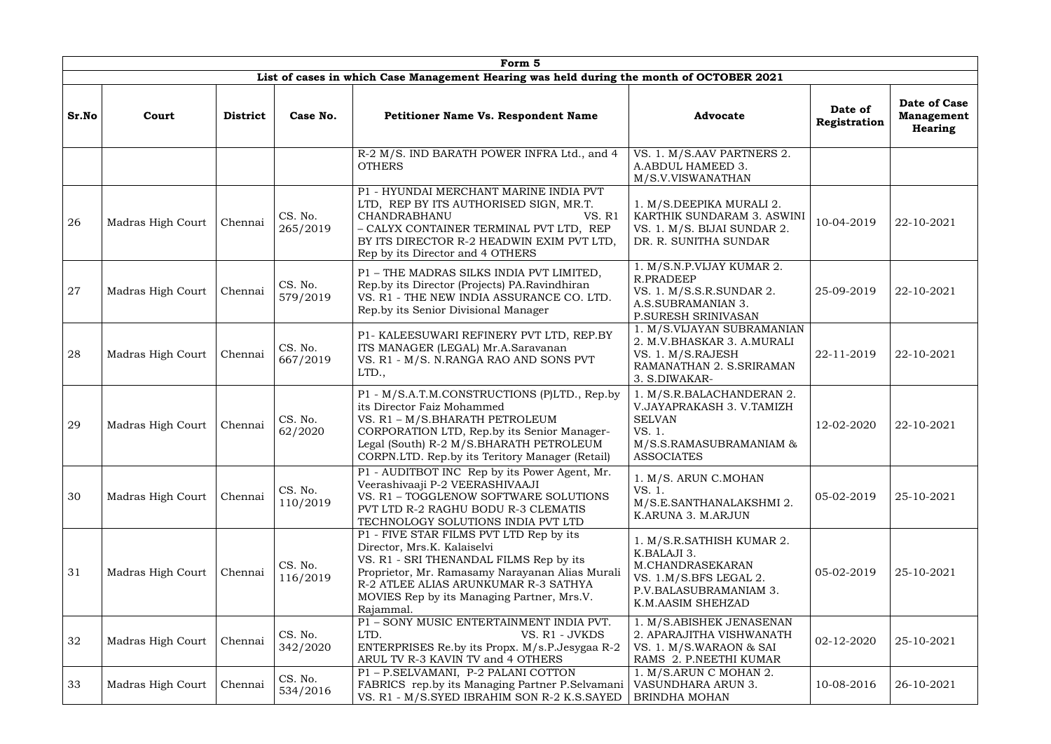|       |                   |                 |                     | Form 5                                                                                                                                                                                                                                                                  |                                                                                                                                       |                         |                                              |
|-------|-------------------|-----------------|---------------------|-------------------------------------------------------------------------------------------------------------------------------------------------------------------------------------------------------------------------------------------------------------------------|---------------------------------------------------------------------------------------------------------------------------------------|-------------------------|----------------------------------------------|
|       |                   |                 |                     | List of cases in which Case Management Hearing was held during the month of OCTOBER 2021                                                                                                                                                                                |                                                                                                                                       |                         |                                              |
| Sr.No | Court             | <b>District</b> | Case No.            | <b>Petitioner Name Vs. Respondent Name</b>                                                                                                                                                                                                                              | <b>Advocate</b>                                                                                                                       | Date of<br>Registration | Date of Case<br><b>Management</b><br>Hearing |
|       |                   |                 |                     | R-2 M/S. IND BARATH POWER INFRA Ltd., and 4<br><b>OTHERS</b>                                                                                                                                                                                                            | VS. 1. M/S.AAV PARTNERS 2.<br>A.ABDUL HAMEED 3.<br>M/S.V.VISWANATHAN                                                                  |                         |                                              |
| 26    | Madras High Court | Chennai         | CS. No.<br>265/2019 | P1 - HYUNDAI MERCHANT MARINE INDIA PVT<br>LTD, REP BY ITS AUTHORISED SIGN, MR.T.<br>CHANDRABHANU<br>VS. R1<br>- CALYX CONTAINER TERMINAL PVT LTD, REP<br>BY ITS DIRECTOR R-2 HEADWIN EXIM PVT LTD,<br>Rep by its Director and 4 OTHERS                                  | 1. M/S.DEEPIKA MURALI 2.<br>KARTHIK SUNDARAM 3. ASWINI<br>VS. 1. M/S. BIJAI SUNDAR 2.<br>DR. R. SUNITHA SUNDAR                        | 10-04-2019              | 22-10-2021                                   |
| 27    | Madras High Court | Chennai         | CS. No.<br>579/2019 | P1 - THE MADRAS SILKS INDIA PVT LIMITED,<br>Rep.by its Director (Projects) PA.Ravindhiran<br>VS. R1 - THE NEW INDIA ASSURANCE CO. LTD.<br>Rep.by its Senior Divisional Manager                                                                                          | 1. M/S.N.P.VIJAY KUMAR 2.<br>R.PRADEEP<br>VS. 1. M/S.S.R.SUNDAR 2.<br>A.S.SUBRAMANIAN 3.<br>P.SURESH SRINIVASAN                       | 25-09-2019              | 22-10-2021                                   |
| 28    | Madras High Court | Chennai         | CS. No.<br>667/2019 | P1- KALEESUWARI REFINERY PVT LTD, REP.BY<br>ITS MANAGER (LEGAL) Mr.A.Saravanan<br>VS. R1 - M/S. N.RANGA RAO AND SONS PVT<br>LTD.,                                                                                                                                       | 1. M/S.VIJAYAN SUBRAMANIAN<br>2. M.V.BHASKAR 3. A.MURALI<br>VS. 1. M/S.RAJESH<br>RAMANATHAN 2. S.SRIRAMAN<br>3. S.DIWAKAR-            | 22-11-2019              | 22-10-2021                                   |
| 29    | Madras High Court | Chennai         | CS. No.<br>62/2020  | P1 - M/S.A.T.M.CONSTRUCTIONS (P)LTD., Rep.by<br>its Director Faiz Mohammed<br>VS. R1 - M/S.BHARATH PETROLEUM<br>CORPORATION LTD, Rep.by its Senior Manager-<br>Legal (South) R-2 M/S.BHARATH PETROLEUM<br>CORPN.LTD. Rep.by its Teritory Manager (Retail)               | 1. M/S.R.BALACHANDERAN 2.<br>V.JAYAPRAKASH 3. V.TAMIZH<br><b>SELVAN</b><br>VS. 1.<br>M/S.S.RAMASUBRAMANIAM &<br><b>ASSOCIATES</b>     | 12-02-2020              | 22-10-2021                                   |
| 30    | Madras High Court | Chennai         | CS. No.<br>110/2019 | P1 - AUDITBOT INC Rep by its Power Agent, Mr.<br>Veerashivaaji P-2 VEERASHIVAAJI<br>VS. R1 - TOGGLENOW SOFTWARE SOLUTIONS<br>PVT LTD R-2 RAGHU BODU R-3 CLEMATIS<br>TECHNOLOGY SOLUTIONS INDIA PVT LTD                                                                  | 1. M/S. ARUN C.MOHAN<br>VS. 1.<br>M/S.E.SANTHANALAKSHMI 2.<br>K.ARUNA 3. M.ARJUN                                                      | 05-02-2019              | 25-10-2021                                   |
| 31    | Madras High Court | Chennai         | CS. No.<br>116/2019 | P1 - FIVE STAR FILMS PVT LTD Rep by its<br>Director, Mrs.K. Kalaiselvi<br>VS. R1 - SRI THENANDAL FILMS Rep by its<br>Proprietor, Mr. Ramasamy Narayanan Alias Murali<br>R-2 ATLEE ALIAS ARUNKUMAR R-3 SATHYA<br>MOVIES Rep by its Managing Partner, Mrs.V.<br>Rajammal. | 1. M/S.R.SATHISH KUMAR 2.<br>K.BALAJI 3.<br>M.CHANDRASEKARAN<br>VS. 1.M/S.BFS LEGAL 2.<br>P.V.BALASUBRAMANIAM 3.<br>K.M.AASIM SHEHZAD | 05-02-2019              | 25-10-2021                                   |
| 32    | Madras High Court | Chennai         | CS. No.<br>342/2020 | P1 - SONY MUSIC ENTERTAINMENT INDIA PVT.<br>LTD.<br>VS. R1 - JVKDS<br>ENTERPRISES Re.by its Propx. M/s.P.Jesygaa R-2<br>ARUL TV R-3 KAVIN TV and 4 OTHERS                                                                                                               | 1. M/S.ABISHEK JENASENAN<br>2. APARAJITHA VISHWANATH<br>VS. 1. M/S.WARAON & SAI<br>RAMS 2. P.NEETHI KUMAR                             | 02-12-2020              | 25-10-2021                                   |
| 33    | Madras High Court | Chennai         | CS. No.<br>534/2016 | P1-P.SELVAMANI, P-2 PALANI COTTON<br>FABRICS rep.by its Managing Partner P.Selvamani<br>VS. R1 - M/S.SYED IBRAHIM SON R-2 K.S.SAYED                                                                                                                                     | 1. M/S.ARUN C MOHAN 2.<br>VASUNDHARA ARUN 3.<br><b>BRINDHA MOHAN</b>                                                                  | 10-08-2016              | 26-10-2021                                   |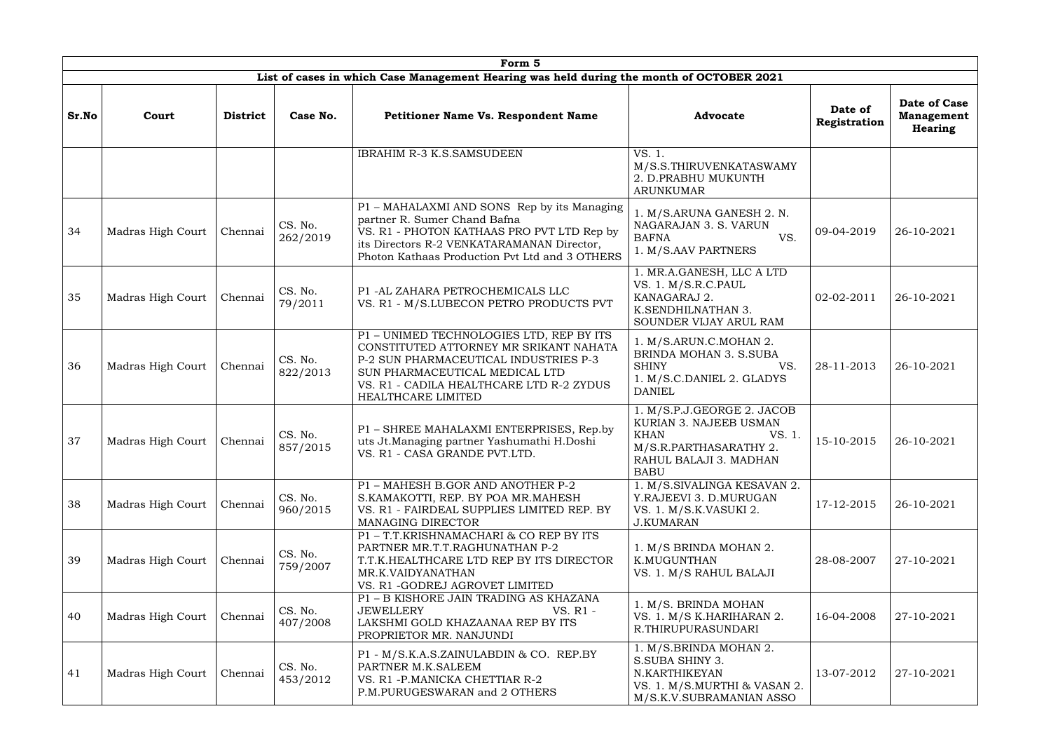|       |                   |                 |                     | Form 5                                                                                                                                                                                                                          |                                                                                                                                                  |                         |                                                     |
|-------|-------------------|-----------------|---------------------|---------------------------------------------------------------------------------------------------------------------------------------------------------------------------------------------------------------------------------|--------------------------------------------------------------------------------------------------------------------------------------------------|-------------------------|-----------------------------------------------------|
|       |                   |                 |                     | List of cases in which Case Management Hearing was held during the month of OCTOBER 2021                                                                                                                                        |                                                                                                                                                  |                         |                                                     |
| Sr.No | Court             | <b>District</b> | Case No.            | <b>Petitioner Name Vs. Respondent Name</b>                                                                                                                                                                                      | <b>Advocate</b>                                                                                                                                  | Date of<br>Registration | Date of Case<br><b>Management</b><br><b>Hearing</b> |
|       |                   |                 |                     | IBRAHIM R-3 K.S.SAMSUDEEN                                                                                                                                                                                                       | VS. 1.<br>M/S.S.THIRUVENKATASWAMY<br>2. D.PRABHU MUKUNTH<br><b>ARUNKUMAR</b>                                                                     |                         |                                                     |
| 34    | Madras High Court | Chennai         | CS. No.<br>262/2019 | P1 – MAHALAXMI AND SONS Rep by its Managing<br>partner R. Sumer Chand Bafna<br>VS. R1 - PHOTON KATHAAS PRO PVT LTD Rep by<br>its Directors R-2 VENKATARAMANAN Director,<br>Photon Kathaas Production Pvt Ltd and 3 OTHERS       | 1. M/S.ARUNA GANESH 2. N.<br>NAGARAJAN 3. S. VARUN<br><b>BAFNA</b><br>VS.<br>1. M/S.AAV PARTNERS                                                 | 09-04-2019              | 26-10-2021                                          |
| 35    | Madras High Court | Chennai         | CS. No.<br>79/2011  | P1 -AL ZAHARA PETROCHEMICALS LLC<br>VS. R1 - M/S.LUBECON PETRO PRODUCTS PVT                                                                                                                                                     | 1. MR.A.GANESH, LLC A LTD<br>VS. 1. M/S.R.C.PAUL<br>KANAGARAJ 2.<br>K.SENDHILNATHAN 3.<br>SOUNDER VIJAY ARUL RAM                                 | 02-02-2011              | 26-10-2021                                          |
| 36    | Madras High Court | Chennai         | CS. No.<br>822/2013 | P1 - UNIMED TECHNOLOGIES LTD, REP BY ITS<br>CONSTITUTED ATTORNEY MR SRIKANT NAHATA<br>P-2 SUN PHARMACEUTICAL INDUSTRIES P-3<br>SUN PHARMACEUTICAL MEDICAL LTD<br>VS. R1 - CADILA HEALTHCARE LTD R-2 ZYDUS<br>HEALTHCARE LIMITED | 1. M/S.ARUN.C.MOHAN 2.<br>BRINDA MOHAN 3. S.SUBA<br><b>SHINY</b><br>VS.<br>1. M/S.C.DANIEL 2. GLADYS<br><b>DANIEL</b>                            | 28-11-2013              | 26-10-2021                                          |
| 37    | Madras High Court | Chennai         | CS. No.<br>857/2015 | P1 - SHREE MAHALAXMI ENTERPRISES, Rep.by<br>uts Jt.Managing partner Yashumathi H.Doshi<br>VS. R1 - CASA GRANDE PVT.LTD.                                                                                                         | 1. M/S.P.J.GEORGE 2. JACOB<br>KURIAN 3. NAJEEB USMAN<br><b>KHAN</b><br>VS. 1.<br>M/S.R.PARTHASARATHY 2.<br>RAHUL BALAJI 3. MADHAN<br><b>BABU</b> | 15-10-2015              | 26-10-2021                                          |
| 38    | Madras High Court | Chennai         | CS. No.<br>960/2015 | P1 - MAHESH B.GOR AND ANOTHER P-2<br>S.KAMAKOTTI, REP. BY POA MR.MAHESH<br>VS. R1 - FAIRDEAL SUPPLIES LIMITED REP. BY<br>MANAGING DIRECTOR                                                                                      | 1. M/S.SIVALINGA KESAVAN 2.<br>Y.RAJEEVI 3. D.MURUGAN<br>VS. 1. M/S.K.VASUKI 2.<br><b>J.KUMARAN</b>                                              | 17-12-2015              | 26-10-2021                                          |
| 39    | Madras High Court | Chennai         | CS. No.<br>759/2007 | P1-T.T.KRISHNAMACHARI & COREP BY ITS<br>PARTNER MR.T.T.RAGHUNATHAN P-2<br>T.T.K.HEALTHCARE LTD REP BY ITS DIRECTOR<br>MR.K.VAIDYANATHAN<br>VS. R1 -GODREJ AGROVET LIMITED                                                       | 1. M/S BRINDA MOHAN 2.<br>K.MUGUNTHAN<br>VS. 1. M/S RAHUL BALAJI                                                                                 | 28-08-2007              | 27-10-2021                                          |
| 40    | Madras High Court | Chennai         | CS. No.<br>407/2008 | P1 - B KISHORE JAIN TRADING AS KHAZANA<br>JEWELLERY<br>VS. R1 -<br>LAKSHMI GOLD KHAZAANAA REP BY ITS<br>PROPRIETOR MR. NANJUNDI                                                                                                 | 1. M/S. BRINDA MOHAN<br>VS. 1. M/S K.HARIHARAN 2.<br>R.THIRUPURASUNDARI                                                                          | 16-04-2008              | 27-10-2021                                          |
| 41    | Madras High Court | Chennai         | CS. No.<br>453/2012 | P1 - M/S.K.A.S.ZAINULABDIN & CO. REP.BY<br>PARTNER M.K.SALEEM<br>VS. R1 - P. MANICKA CHETTIAR R-2<br>P.M.PURUGESWARAN and 2 OTHERS                                                                                              | 1. M/S.BRINDA MOHAN 2.<br>S.SUBA SHINY 3.<br>N.KARTHIKEYAN<br>VS. 1. M/S.MURTHI & VASAN 2.<br>M/S.K.V.SUBRAMANIAN ASSO                           | 13-07-2012              | 27-10-2021                                          |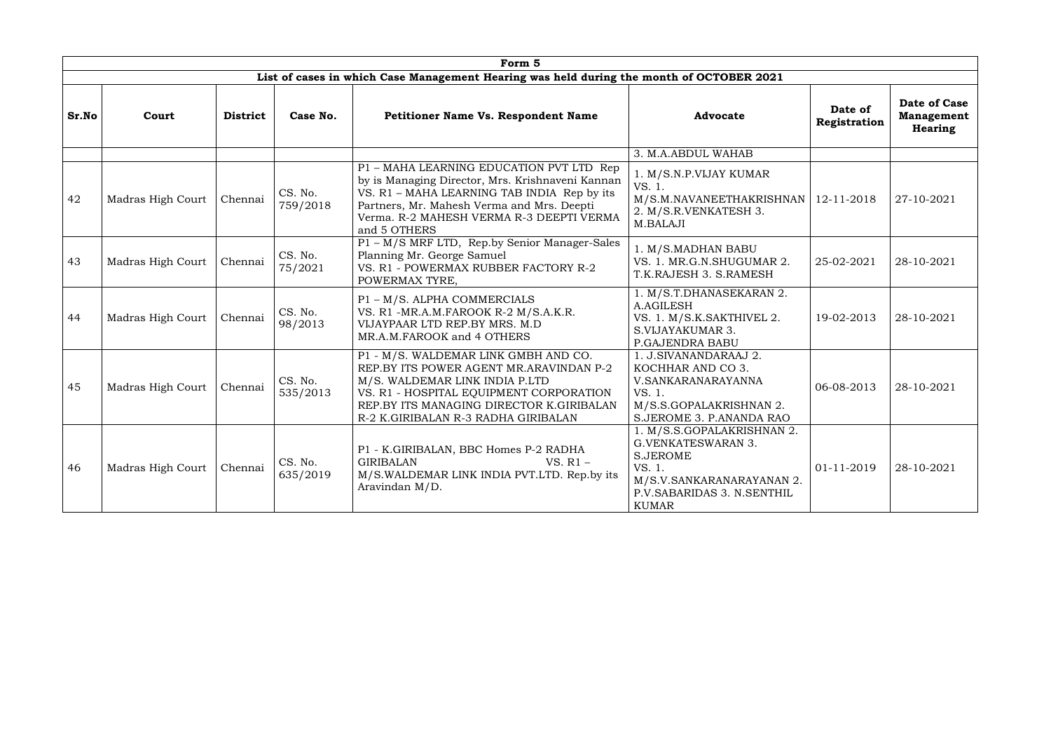|       |                              |                 |                     | Form 5                                                                                                                                                                                                                                                |                                                                                                                                                                 |                         |                                              |
|-------|------------------------------|-----------------|---------------------|-------------------------------------------------------------------------------------------------------------------------------------------------------------------------------------------------------------------------------------------------------|-----------------------------------------------------------------------------------------------------------------------------------------------------------------|-------------------------|----------------------------------------------|
|       |                              |                 |                     | List of cases in which Case Management Hearing was held during the month of OCTOBER 2021                                                                                                                                                              |                                                                                                                                                                 |                         |                                              |
| Sr.No | Court                        | <b>District</b> | Case No.            | Petitioner Name Vs. Respondent Name                                                                                                                                                                                                                   | <b>Advocate</b>                                                                                                                                                 | Date of<br>Registration | Date of Case<br><b>Management</b><br>Hearing |
|       |                              |                 |                     |                                                                                                                                                                                                                                                       | 3. M.A.ABDUL WAHAB                                                                                                                                              |                         |                                              |
| 42    | Madras High Court            | Chennai         | CS. No.<br>759/2018 | P1 - MAHA LEARNING EDUCATION PVT LTD Rep<br>by is Managing Director, Mrs. Krishnaveni Kannan<br>VS. R1 - MAHA LEARNING TAB INDIA Rep by its<br>Partners, Mr. Mahesh Verma and Mrs. Deepti<br>Verma. R-2 MAHESH VERMA R-3 DEEPTI VERMA<br>and 5 OTHERS | 1. M/S.N.P.VIJAY KUMAR<br>VS. 1.<br>M/S.M.NAVANEETHAKRISHNAN<br>2. M/S.R.VENKATESH 3.<br>M.BALAJI                                                               | 12-11-2018              | 27-10-2021                                   |
| 43    | Madras High Court            | Chennai         | CS. No.<br>75/2021  | P1 - M/S MRF LTD, Rep.by Senior Manager-Sales<br>Planning Mr. George Samuel<br>VS. R1 - POWERMAX RUBBER FACTORY R-2<br>POWERMAX TYRE,                                                                                                                 | 1. M/S.MADHAN BABU<br>VS. 1. MR.G.N.SHUGUMAR 2.<br>T.K.RAJESH 3. S.RAMESH                                                                                       | 25-02-2021              | 28-10-2021                                   |
| 44    | Madras High Court            | Chennai         | CS. No.<br>98/2013  | P1 - M/S. ALPHA COMMERCIALS<br>VS. R1 -MR.A.M.FAROOK R-2 M/S.A.K.R.<br>VIJAYPAAR LTD REP.BY MRS. M.D<br>MR.A.M.FAROOK and 4 OTHERS                                                                                                                    | 1. M/S.T.DHANASEKARAN 2.<br><b>A.AGILESH</b><br>VS. 1. M/S.K.SAKTHIVEL 2.<br>S.VIJAYAKUMAR 3.<br>P.GAJENDRA BABU                                                | 19-02-2013              | 28-10-2021                                   |
| 45    | Madras High Court            | Chennai         | CS. No.<br>535/2013 | P1 - M/S. WALDEMAR LINK GMBH AND CO.<br>REP.BY ITS POWER AGENT MR.ARAVINDAN P-2<br>M/S. WALDEMAR LINK INDIA P.LTD<br>VS. R1 - HOSPITAL EQUIPMENT CORPORATION<br>REP.BY ITS MANAGING DIRECTOR K.GIRIBALAN<br>R-2 K.GIRIBALAN R-3 RADHA GIRIBALAN       | 1. J.SIVANANDARAAJ 2.<br>KOCHHAR AND CO 3.<br>V.SANKARANARAYANNA<br>VS. 1.<br>M/S.S.GOPALAKRISHNAN 2.<br>S.JEROME 3. P.ANANDA RAO                               | 06-08-2013              | 28-10-2021                                   |
| 46    | Chennai<br>Madras High Court |                 | CS. No.<br>635/2019 | P1 - K.GIRIBALAN, BBC Homes P-2 RADHA<br><b>GIRIBALAN</b><br>VS. $R1 -$<br>M/S.WALDEMAR LINK INDIA PVT.LTD. Rep.by its<br>Aravindan M/D.                                                                                                              | 1. M/S.S.GOPALAKRISHNAN 2.<br><b>G.VENKATESWARAN 3.</b><br><b>S.JEROME</b><br>VS. 1.<br>M/S.V.SANKARANARAYANAN 2.<br>P.V.SABARIDAS 3. N.SENTHIL<br><b>KUMAR</b> | 01-11-2019              | 28-10-2021                                   |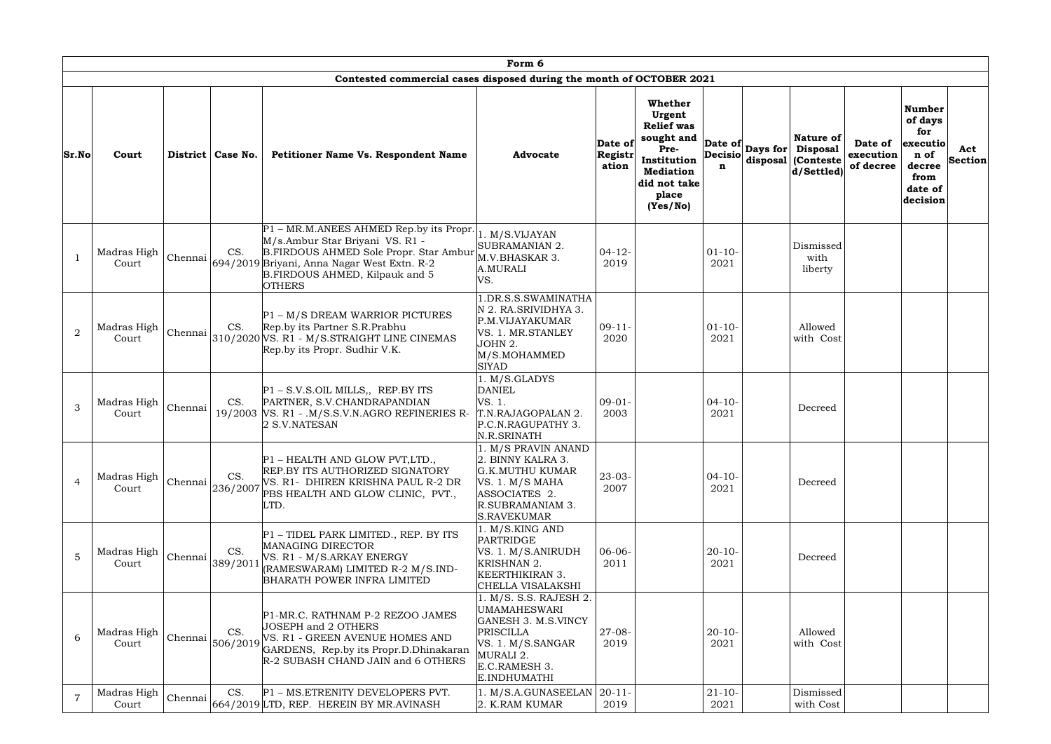|                | Form 6               |         |                                      |                                                                                                                                                                                                                                |                                                                                                                                                             |                             |                                                                                                                                           |  |                                                                                  |                                   |                                                                                              |                       |  |
|----------------|----------------------|---------|--------------------------------------|--------------------------------------------------------------------------------------------------------------------------------------------------------------------------------------------------------------------------------|-------------------------------------------------------------------------------------------------------------------------------------------------------------|-----------------------------|-------------------------------------------------------------------------------------------------------------------------------------------|--|----------------------------------------------------------------------------------|-----------------------------------|----------------------------------------------------------------------------------------------|-----------------------|--|
|                |                      |         |                                      | Contested commercial cases disposed during the month of OCTOBER 2021                                                                                                                                                           |                                                                                                                                                             |                             |                                                                                                                                           |  |                                                                                  |                                   |                                                                                              |                       |  |
| Sr.No          | Court                |         | District   Case No.                  | Petitioner Name Vs. Respondent Name                                                                                                                                                                                            | <b>Advocate</b>                                                                                                                                             | Date of<br>Registr<br>ation | Whether<br>Urgent<br><b>Relief</b> was<br>sought and<br>Pre-<br>Institution<br>n<br><b>Mediation</b><br>did not take<br>place<br>(Yes/No) |  | <b>Nature of</b><br>Date of Days for Disposal<br>disposal (Conteste<br>d/Settled | Date of<br>execution<br>of decree | <b>Number</b><br>of days<br>for<br>executio<br>n of<br>decree<br>from<br>date of<br>decision | Act<br><b>Section</b> |  |
|                | Madras High<br>Court |         | CS.                                  | P1 – MR.M.ANEES AHMED Rep.by its Propr.<br>M/s.Ambur Star Briyani VS. R1 -<br>B.FIRDOUS AHMED Sole Propr. Star Ambur<br>Chennai 694/2019 Briyani, Anna Nagar West Extn. R-2<br>B.FIRDOUS AHMED, Kilpauk and 5<br><b>OTHERS</b> | 1. M/S.VIJAYAN<br>SUBRAMANIAN 2.<br>M.V.BHASKAR 3.<br>A.MURALI<br>VS.                                                                                       | $04 - 12$<br>2019           | $01 - 10 -$<br>2021                                                                                                                       |  | Dismissed<br>with<br>liberty                                                     |                                   |                                                                                              |                       |  |
| $\overline{2}$ | Madras High<br>Court |         | CS.                                  | P1 - M/S DREAM WARRIOR PICTURES<br>Rep.by its Partner S.R.Prabhu<br>Chennai $310/2020$ VS. R1 - M/S.STRAIGHT LINE CINEMAS<br>Rep.by its Propr. Sudhir V.K.                                                                     | 1.DR.S.S.SWAMINATHA<br>N 2. RA.SRIVIDHYA 3.<br>P.M.VIJAYAKUMAR<br>VS. 1. MR.STANLEY<br>JOHN 2.<br>M/S.MOHAMMED<br><b>SIYAD</b>                              | $09-11-$<br>2020            | $01 - 10 -$<br>2021                                                                                                                       |  | Allowed<br>with Cost                                                             |                                   |                                                                                              |                       |  |
| 3              | Madras High<br>Court | Chennai | CS.                                  | $ P1 - S.V.S.OIL MILLS, REP.BY ITS$<br>PARTNER, S.V.CHANDRAPANDIAN<br>19/2003 VS. R1 - .M/S.S.V.N.AGRO REFINERIES R-<br>2 S.V.NATESAN                                                                                          | . M/S.GLADYS<br><b>DANIEL</b><br>VS. 1.<br>T.N.RAJAGOPALAN 2.<br>P.C.N.RAGUPATHY 3.<br>N.R.SRINATH                                                          | $09-01-$<br>2003            | $04 - 10 -$<br>2021                                                                                                                       |  | Decreed                                                                          |                                   |                                                                                              |                       |  |
| $\overline{4}$ | Madras High<br>Court |         | CS.<br>$ $ Chennai $ _{236/2007}$ '  | P1 - HEALTH AND GLOW PVT, LTD.,<br><b>REP.BY ITS AUTHORIZED SIGNATORY</b><br>VS. R1- DHIREN KRISHNA PAUL R-2 DR<br>PBS HEALTH AND GLOW CLINIC, PVT.,<br>LTD.                                                                   | 1. M/S PRAVIN ANAND<br>2. BINNY KALRA 3.<br><b>G.K.MUTHU KUMAR</b><br>VS. 1. M/S MAHA<br>ASSOCIATES 2.<br>R.SUBRAMANIAM 3.<br><b>S.RAVEKUMAR</b>            | $23 - 03 -$<br>2007         | $04-10-$<br>2021                                                                                                                          |  | Decreed                                                                          |                                   |                                                                                              |                       |  |
| 5              | Madras High<br>Court |         | CS.<br>$ \text{Chennai} _{389/2011}$ | P1 - TIDEL PARK LIMITED., REP. BY ITS<br>MANAGING DIRECTOR<br>VS. R1 - M/S.ARKAY ENERGY<br>(RAMESWARAM) LIMITED R-2 M/S.IND-<br>BHARATH POWER INFRA LIMITED                                                                    | 1. M/S.KING AND<br>PARTRIDGE<br>VS. 1. M/S.ANIRUDH<br>KRISHNAN 2.<br><b>KEERTHIKIRAN 3.</b><br>CHELLA VISALAKSHI                                            | $06 - 06 -$<br>2011         | $20 - 10 -$<br>2021                                                                                                                       |  | Decreed                                                                          |                                   |                                                                                              |                       |  |
| 6              | Madras High<br>Court |         | CS.<br>$ $ Chennai $ _{506/2019}$ '  | P1-MR.C. RATHNAM P-2 REZOO JAMES<br>JOSEPH and 2 OTHERS<br>VS. R1 - GREEN AVENUE HOMES AND<br>GARDENS, Rep.by its Propr.D.Dhinakaran<br>R-2 SUBASH CHAND JAIN and 6 OTHERS                                                     | 1. M/S. S.S. RAJESH 2.<br><b>UMAMAHESWARI</b><br>GANESH 3. M.S.VINCY<br><b>PRISCILLA</b><br>VS. 1. M/S.SANGAR<br>MURALI 2.<br>E.C.RAMESH 3.<br>E.INDHUMATHI | $27 - 08 -$<br>2019         | $20-10-$<br>2021                                                                                                                          |  | Allowed<br>with Cost                                                             |                                   |                                                                                              |                       |  |
| $\overline{7}$ | Madras High<br>Court |         | CS.                                  | P1 - MS.ETRENITY DEVELOPERS PVT.<br>$ $ Chennai $ _{664/2019}$ LTD, REP. HEREIN BY MR.AVINASH                                                                                                                                  | 1. M/S.A.GUNASEELAN<br>$ 2.$ K.RAM KUMAR                                                                                                                    | $20 - 11 -$<br>2019         | $21 - 10 -$<br>2021                                                                                                                       |  | Dismissed<br>with Cost                                                           |                                   |                                                                                              |                       |  |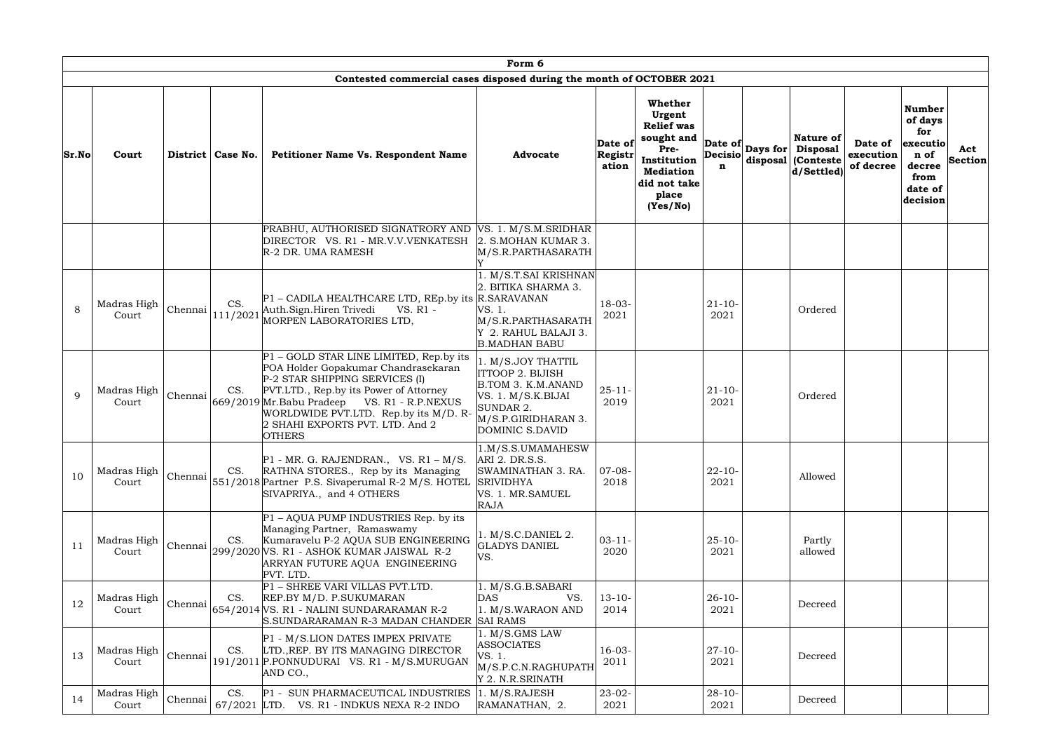|       | Form 6<br>Contested commercial cases disposed during the month of OCTOBER 2021 |         |                               |                                                                                                                                                                                                                                                                                                                 |                                                                                                                                           |                             |                                                                                                                                      |                     |  |                                                                            |                                   |                                                                                              |                       |  |
|-------|--------------------------------------------------------------------------------|---------|-------------------------------|-----------------------------------------------------------------------------------------------------------------------------------------------------------------------------------------------------------------------------------------------------------------------------------------------------------------|-------------------------------------------------------------------------------------------------------------------------------------------|-----------------------------|--------------------------------------------------------------------------------------------------------------------------------------|---------------------|--|----------------------------------------------------------------------------|-----------------------------------|----------------------------------------------------------------------------------------------|-----------------------|--|
| Sr.No | Court                                                                          |         | District   Case No.           | Petitioner Name Vs. Respondent Name                                                                                                                                                                                                                                                                             | <b>Advocate</b>                                                                                                                           | Date of<br>Registr<br>ation | Whether<br>Urgent<br><b>Relief</b> was<br>sought and<br>Pre-<br>Institution<br><b>Mediation</b><br>did not take<br>place<br>(Yes/No) | <b>Decisio</b><br>n |  | Nature of<br>Date of Days for Disposal<br>disposal (Conteste<br>d/Settled) | Date of<br>execution<br>of decree | <b>Number</b><br>of days<br>for<br>executio<br>n of<br>decree<br>from<br>date of<br>decision | Act<br><b>Section</b> |  |
|       |                                                                                |         |                               | PRABHU, AUTHORISED SIGNATRORY AND VS. 1. M/S.M.SRIDHAR<br>DIRECTOR VS. R1 - MR.V.V.VENKATESH 2. S.MOHAN KUMAR 3.<br>R-2 DR. UMA RAMESH                                                                                                                                                                          | M/S.R.PARTHASARATH                                                                                                                        |                             |                                                                                                                                      |                     |  |                                                                            |                                   |                                                                                              |                       |  |
| 8     | Madras High<br>Court                                                           |         | CS.<br>$ Chennai _{111/2021}$ | P1 - CADILA HEALTHCARE LTD, REp.by its R.SARAVANAN<br>Auth.Sign.Hiren Trivedi<br>VS. R1 -<br>MORPEN LABORATORIES LTD,                                                                                                                                                                                           | . M/S.T.SAI KRISHNAN<br>2. BITIKA SHARMA 3.<br>VS. 1.<br>M/S.R.PARTHASARATH<br>Y 2. RAHUL BALAJI 3.<br><b>B.MADHAN BABU</b>               | $18 - 03 -$<br>2021         |                                                                                                                                      | $21 - 10 -$<br>2021 |  | Ordered                                                                    |                                   |                                                                                              |                       |  |
| 9     | Madras High<br>Court                                                           |         | CS.                           | P1 – GOLD STAR LINE LIMITED, Rep.by its<br>POA Holder Gopakumar Chandrasekaran<br>P-2 STAR SHIPPING SERVICES (I)<br>PVT.LTD., Rep.by its Power of Attorney<br>Chennai 669/2019 Mr. Babu Pradeep VS. R1 - R.P.NEXUS<br>WORLDWIDE PVT.LTD. Rep.by its M/D. R-<br>2 SHAHI EXPORTS PVT. LTD. And 2<br><b>OTHERS</b> | 1. M/S.JOY THATTIL<br>ITTOOP 2. BIJISH<br>B.TOM 3. K.M.ANAND<br>VS. 1. M/S.K.BIJAI<br>SUNDAR 2.<br>M/S.P.GIRIDHARAN 3.<br>DOMINIC S.DAVID | $25 - 11 -$<br>2019         |                                                                                                                                      | $21 - 10 -$<br>2021 |  | Ordered                                                                    |                                   |                                                                                              |                       |  |
| 10    | Madras High<br>Court                                                           |         | CS.                           | $P1$ - MR. G. RAJENDRAN., VS. R1 - M/S.<br>RATHNA STORES., Rep by its Managing<br>Chennai 551/2018 Partner P.S. Sivaperumal R-2 M/S. HOTEL<br>SIVAPRIYA., and 4 OTHERS                                                                                                                                          | 1.M/S.S.UMAMAHESW<br>ARI 2. DR.S.S.<br>SWAMINATHAN 3. RA.<br><b>SRIVIDHYA</b><br>VS. 1. MR.SAMUEL<br><b>RAJA</b>                          | $07-08-$<br>2018            |                                                                                                                                      | $22 - 10 -$<br>2021 |  | Allowed                                                                    |                                   |                                                                                              |                       |  |
| 11    | Madras High<br>Court                                                           |         | CS.                           | $P1 - AQUA$ PUMP INDUSTRIES Rep. by its<br>Managing Partner, Ramaswamy<br>Kumaravelu P-2 AQUA SUB ENGINEERING<br>Chennai 299/2020 VS. R1 - ASHOK KUMAR JAISWAL R-2<br>ARRYAN FUTURE AQUA ENGINEERING<br>PVT. LTD.                                                                                               | 1. M/S.C.DANIEL 2.<br><b>GLADYS DANIEL</b><br>VS.                                                                                         | $03 - 11 -$<br>2020         |                                                                                                                                      | $25 - 10 -$<br>2021 |  | Partly<br>allowed                                                          |                                   |                                                                                              |                       |  |
| 12    | Madras High<br>Court                                                           |         | CS.                           | P1 - SHREE VARI VILLAS PVT.LTD.<br>REP.BY M/D. P.SUKUMARAN<br>Chennai 654/2014 VS. R1 - NALINI SUNDARARAMAN R-2<br>S.SUNDARARAMAN R-3 MADAN CHANDER SAI RAMS                                                                                                                                                    | 1. M/S.G.B.SABARI<br><b>DAS</b><br>VS.<br>1. M/S.WARAON AND                                                                               | $13 - 10 -$<br>2014         |                                                                                                                                      | $26 - 10 -$<br>2021 |  | Decreed                                                                    |                                   |                                                                                              |                       |  |
| 13    | Madras High<br>Court                                                           | Chennai | CS.                           | P1 - M/S.LION DATES IMPEX PRIVATE<br>LTD., REP. BY ITS MANAGING DIRECTOR<br>191/2011 P.PONNUDURAI VS. R1 - M/S.MURUGAN<br>AND CO.,                                                                                                                                                                              | l. M/S.GMS LAW<br><b>ASSOCIATES</b><br>VS. 1.<br>M/S.P.C.N.RAGHUPATH<br>Y 2. N.R.SRINATH                                                  | $16-03-$<br>2011            |                                                                                                                                      | $27 - 10 -$<br>2021 |  | Decreed                                                                    |                                   |                                                                                              |                       |  |
| 14    | Madras High<br>Court                                                           | Chennai | CS.                           | P1 - SUN PHARMACEUTICAL INDUSTRIES<br>$67/2021$ LTD. VS. R1 - INDKUS NEXA R-2 INDO                                                                                                                                                                                                                              | 1. M/S.RAJESH<br>RAMANATHAN, 2.                                                                                                           | $23 - 02 -$<br>2021         |                                                                                                                                      | $28 - 10 -$<br>2021 |  | Decreed                                                                    |                                   |                                                                                              |                       |  |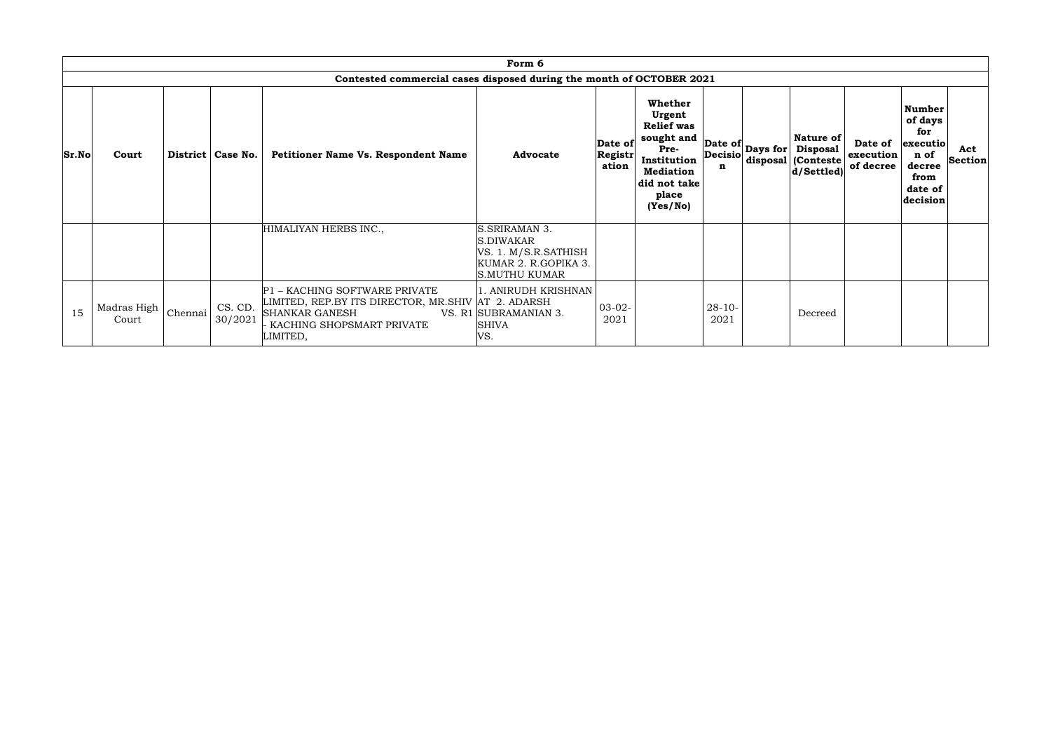|       |                      |         |                     |                                                                                                                                                       | Form 6                                                                                      |                                    |                                                                                                                                      |                                |                                                      |                                   |                                                                                              |                       |
|-------|----------------------|---------|---------------------|-------------------------------------------------------------------------------------------------------------------------------------------------------|---------------------------------------------------------------------------------------------|------------------------------------|--------------------------------------------------------------------------------------------------------------------------------------|--------------------------------|------------------------------------------------------|-----------------------------------|----------------------------------------------------------------------------------------------|-----------------------|
|       |                      |         |                     | Contested commercial cases disposed during the month of OCTOBER 2021                                                                                  |                                                                                             |                                    |                                                                                                                                      |                                |                                                      |                                   |                                                                                              |                       |
| Sr.No | Court                |         | District   Case No. | Petitioner Name Vs. Respondent Name                                                                                                                   | <b>Advocate</b>                                                                             | Date of<br><b>Registr</b><br>ation | Whether<br>Urgent<br><b>Relief</b> was<br>sought and<br>Pre-<br>Institution<br><b>Mediation</b><br>did not take<br>place<br>(Yes/No) | Date of Days for Disposal<br>n | <b>Nature of</b><br>disposal (Conteste<br>d/Settled) | Date of<br>execution<br>of decree | <b>Number</b><br>of days<br>for<br>executio<br>n of<br>decree<br>from<br>date of<br>decision | Act<br><b>Section</b> |
|       |                      |         |                     | HIMALIYAN HERBS INC.,                                                                                                                                 | S.SRIRAMAN 3.<br>S.DIWAKAR<br>VS. 1. M/S.R.SATHISH<br>KUMAR 2. R.GOPIKA 3.<br>S.MUTHU KUMAR |                                    |                                                                                                                                      |                                |                                                      |                                   |                                                                                              |                       |
| 15    | Madras High<br>Court | Chennai | CS. CD.<br>30/2021  | P1 - KACHING SOFTWARE PRIVATE<br>LIMITED, REP.BY ITS DIRECTOR, MR.SHIV AT 2. ADARSH<br><b>SHANKAR GANESH</b><br>KACHING SHOPSMART PRIVATE<br>LIMITED, | 1. ANIRUDH KRISHNAN<br>VS. R1 SUBRAMANIAN 3.<br><b>SHIVA</b><br>VS.                         | $03-02-$<br>2021                   |                                                                                                                                      | $28 - 10 -$<br>2021            | Decreed                                              |                                   |                                                                                              |                       |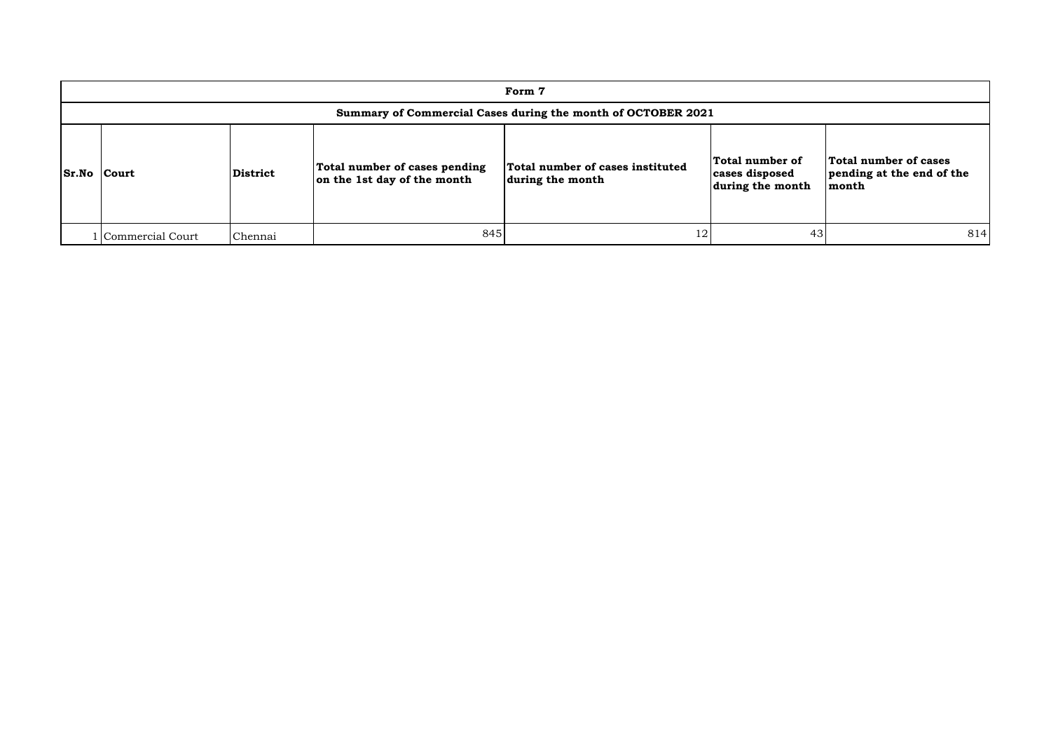|                    | Form 7                                                       |                 |                                                              |                                                      |                                                       |                                                             |  |  |  |  |  |  |  |
|--------------------|--------------------------------------------------------------|-----------------|--------------------------------------------------------------|------------------------------------------------------|-------------------------------------------------------|-------------------------------------------------------------|--|--|--|--|--|--|--|
|                    | Summary of Commercial Cases during the month of OCTOBER 2021 |                 |                                                              |                                                      |                                                       |                                                             |  |  |  |  |  |  |  |
| <b>Sr.No Court</b> |                                                              | <b>District</b> | Total number of cases pending<br>on the 1st day of the month | Total number of cases instituted<br>during the month | Total number of<br>cases disposed<br>during the month | Total number of cases<br>pending at the end of the<br>month |  |  |  |  |  |  |  |
|                    | l Commercial Court                                           | Chennai         | 845                                                          | 12                                                   | 43                                                    | 814                                                         |  |  |  |  |  |  |  |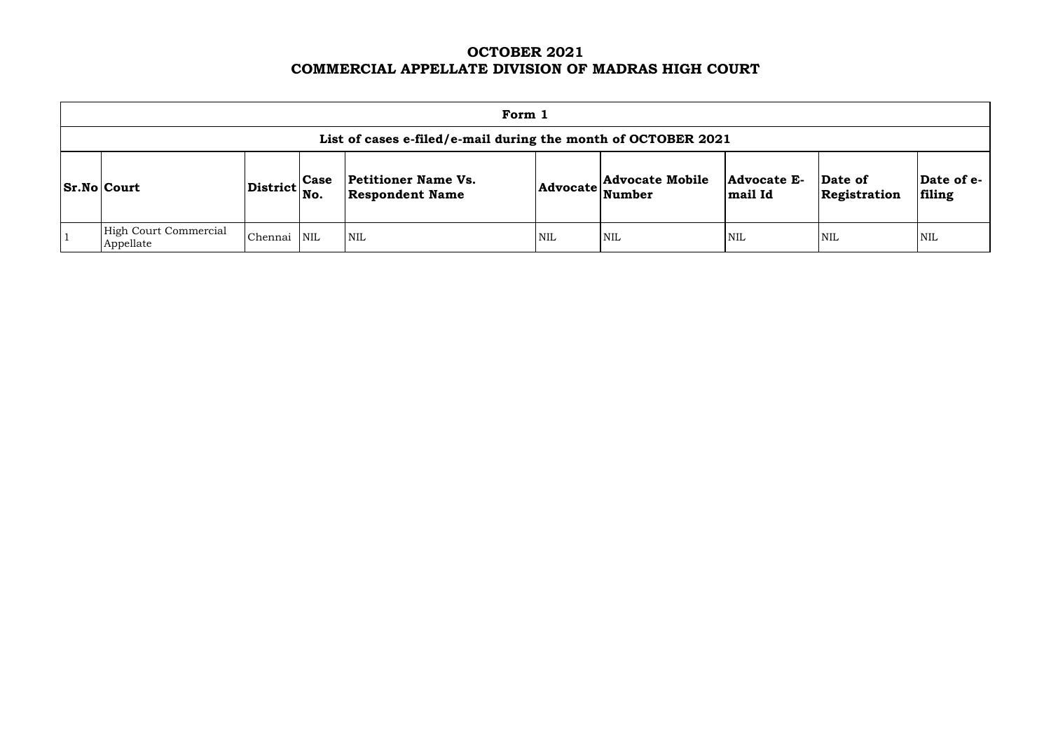# **OCTOBER 2021 COMMERCIAL APPELLATE DIVISION OF MADRAS HIGH COURT**

| Form 1                                                        |                 |                    |                                                      |                 |                                         |                        |                         |                      |  |  |  |  |  |
|---------------------------------------------------------------|-----------------|--------------------|------------------------------------------------------|-----------------|-----------------------------------------|------------------------|-------------------------|----------------------|--|--|--|--|--|
| List of cases e-filed/e-mail during the month of OCTOBER 2021 |                 |                    |                                                      |                 |                                         |                        |                         |                      |  |  |  |  |  |
| <b>Sr.No Court</b>                                            | <b>District</b> | <b>Case</b><br>No. | <b>Petitioner Name Vs.</b><br><b>Respondent Name</b> | <b>Advocate</b> | <b>Advocate Mobile</b><br><b>Number</b> | Advocate E-<br>mail Id | Date of<br>Registration | Date of e-<br>filing |  |  |  |  |  |
| <b>High Court Commercial</b><br>Appellate                     | Chennai         | NIL                | $\mathsf{I}\,\mathrm{NIL}$                           | <b>NIL</b>      | <b>NIL</b>                              | <b>NIL</b>             | <b>NIL</b>              | <b>NIL</b>           |  |  |  |  |  |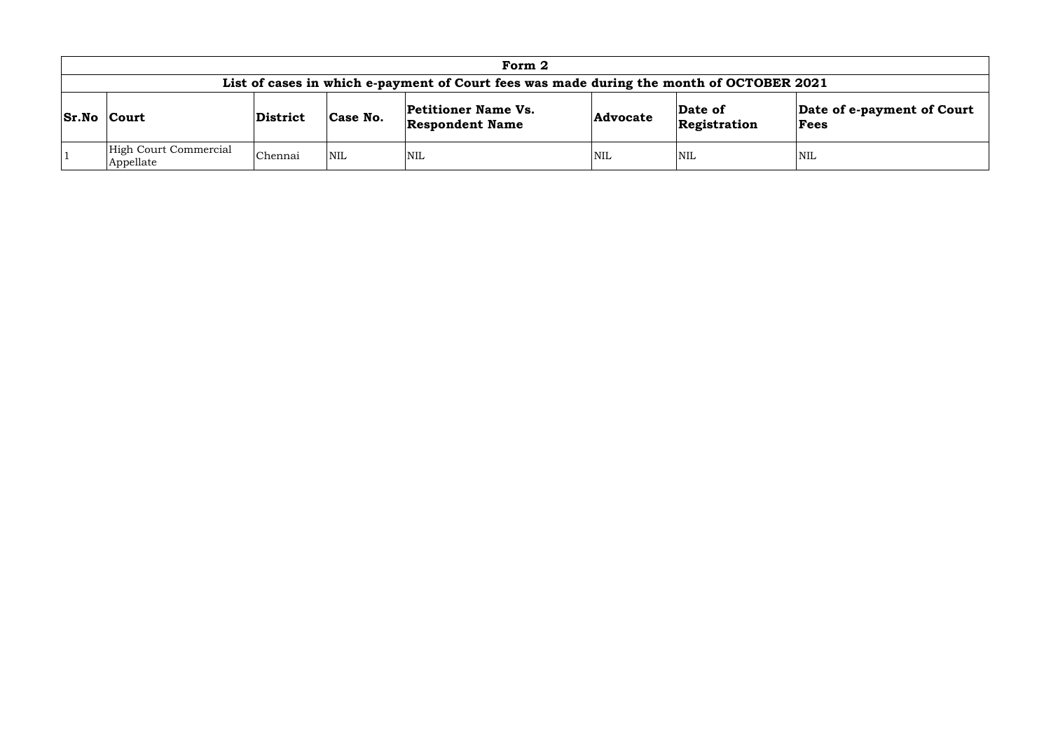| Form 2                                                                                   |          |            |                                                      |                 |                         |                                    |  |  |  |  |  |  |  |
|------------------------------------------------------------------------------------------|----------|------------|------------------------------------------------------|-----------------|-------------------------|------------------------------------|--|--|--|--|--|--|--|
| List of cases in which e-payment of Court fees was made during the month of OCTOBER 2021 |          |            |                                                      |                 |                         |                                    |  |  |  |  |  |  |  |
| <b>Sr.No Court</b>                                                                       | District | Case No.   | <b>Petitioner Name Vs.</b><br><b>Respondent Name</b> | <b>Advocate</b> | Date of<br>Registration | Date of e-payment of Court<br>Fees |  |  |  |  |  |  |  |
| High Court Commercial<br>Appellate                                                       | Chennai  | <b>NIL</b> | <b>NIL</b>                                           | <b>NIL</b>      | <b>NIL</b>              | <b>NIL</b>                         |  |  |  |  |  |  |  |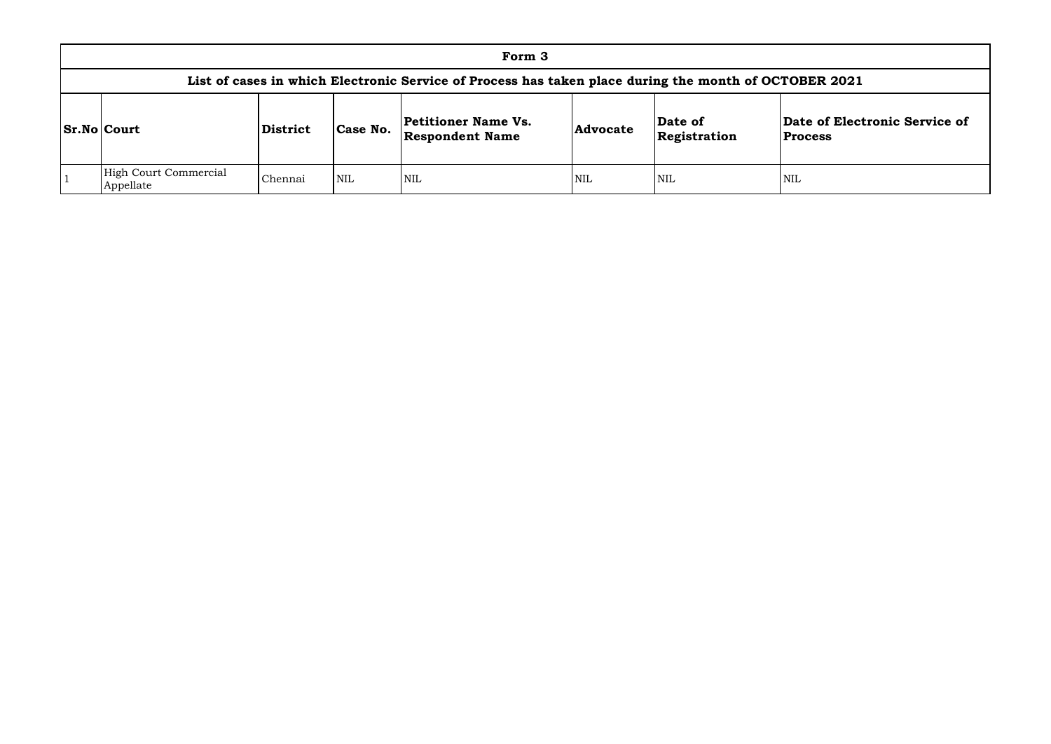| Form 3                                                                                                |                 |            |                                                      |                 |                         |                                |  |  |  |  |  |  |  |
|-------------------------------------------------------------------------------------------------------|-----------------|------------|------------------------------------------------------|-----------------|-------------------------|--------------------------------|--|--|--|--|--|--|--|
| List of cases in which Electronic Service of Process has taken place during the month of OCTOBER 2021 |                 |            |                                                      |                 |                         |                                |  |  |  |  |  |  |  |
| <b>Sr.No Court</b>                                                                                    | <b>District</b> | Case No.   | <b>Petitioner Name Vs.</b><br><b>Respondent Name</b> | <b>Advocate</b> | Date of<br>Registration | Date of Elec<br><b>Process</b> |  |  |  |  |  |  |  |
| High Court Commercial<br>Appellate                                                                    | Chennai         | <b>NIL</b> | <b>NIL</b>                                           | <b>NIL</b>      | <b>NIL</b>              | <b>NIL</b>                     |  |  |  |  |  |  |  |

## **Date of Electronic Service of Process**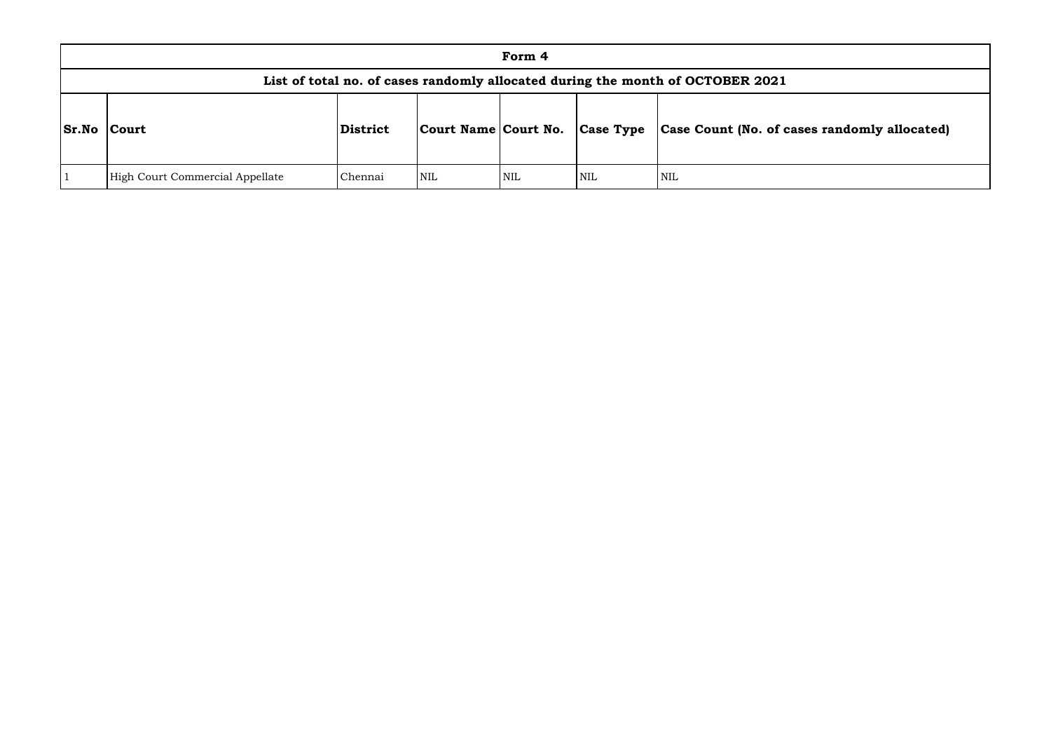|              |                                 |          |                      |            |                  | List of total no. of cases randomly allocated during the month of OCTOBER 2021 |
|--------------|---------------------------------|----------|----------------------|------------|------------------|--------------------------------------------------------------------------------|
| <b>Sr.No</b> | Court                           | District | Court Name Court No. |            | <b>Case Type</b> | Case Count (No. of ca                                                          |
|              | High Court Commercial Appellate | Chennai  | <b>NIL</b>           | <b>NIL</b> | NIL              | <b>NIL</b>                                                                     |

# **Sr.No Court District Court Name Court No. Case Type Case Count (No. of cases randomly allocated)**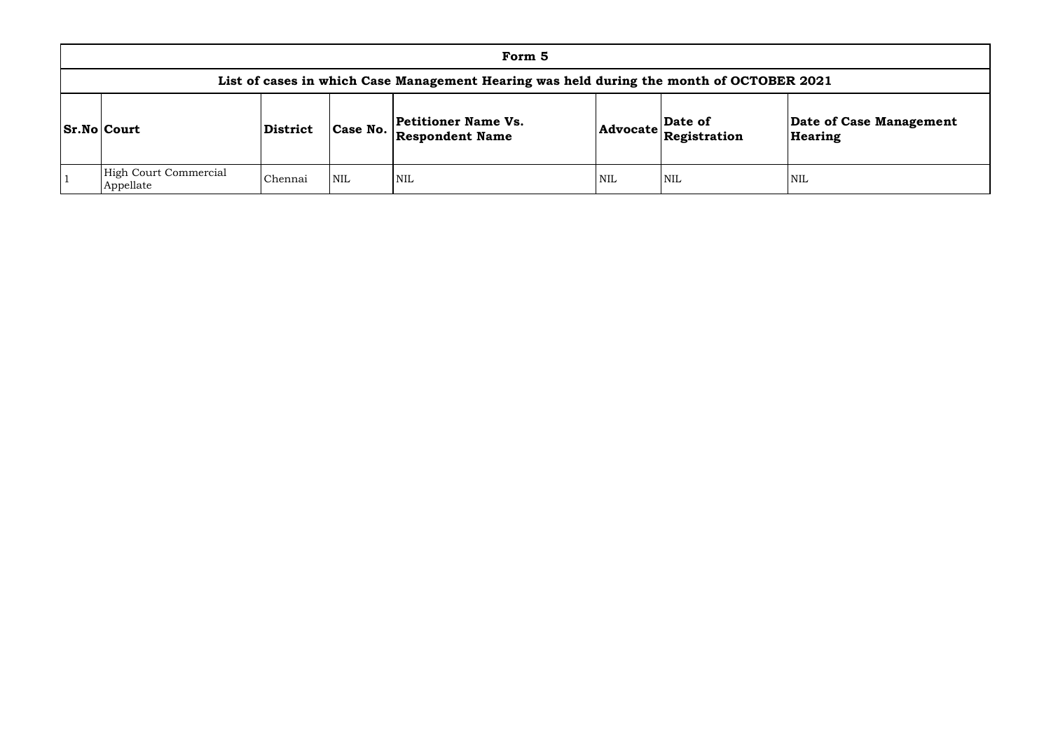|                                                                                          |                 |            | Form 5                                        |     |                                                                 |                  |  |  |  |  |  |  |  |
|------------------------------------------------------------------------------------------|-----------------|------------|-----------------------------------------------|-----|-----------------------------------------------------------------|------------------|--|--|--|--|--|--|--|
| List of cases in which Case Management Hearing was held during the month of OCTOBER 2021 |                 |            |                                               |     |                                                                 |                  |  |  |  |  |  |  |  |
| <b>Sr.No Court</b>                                                                       | <b>District</b> | Case No.   | Petitioner Name Vs.<br><b>Respondent Name</b> |     | Date of<br>$ {\bf Advocate} \mathbf{\widetilde{Registration}} $ | Date o<br>Hearin |  |  |  |  |  |  |  |
| High Court Commercial<br>Appellate                                                       | Chennai         | <b>NIL</b> | NIL                                           | NIL | NIL                                                             | <b>NIL</b>       |  |  |  |  |  |  |  |

# **Date of Case Management Hearing**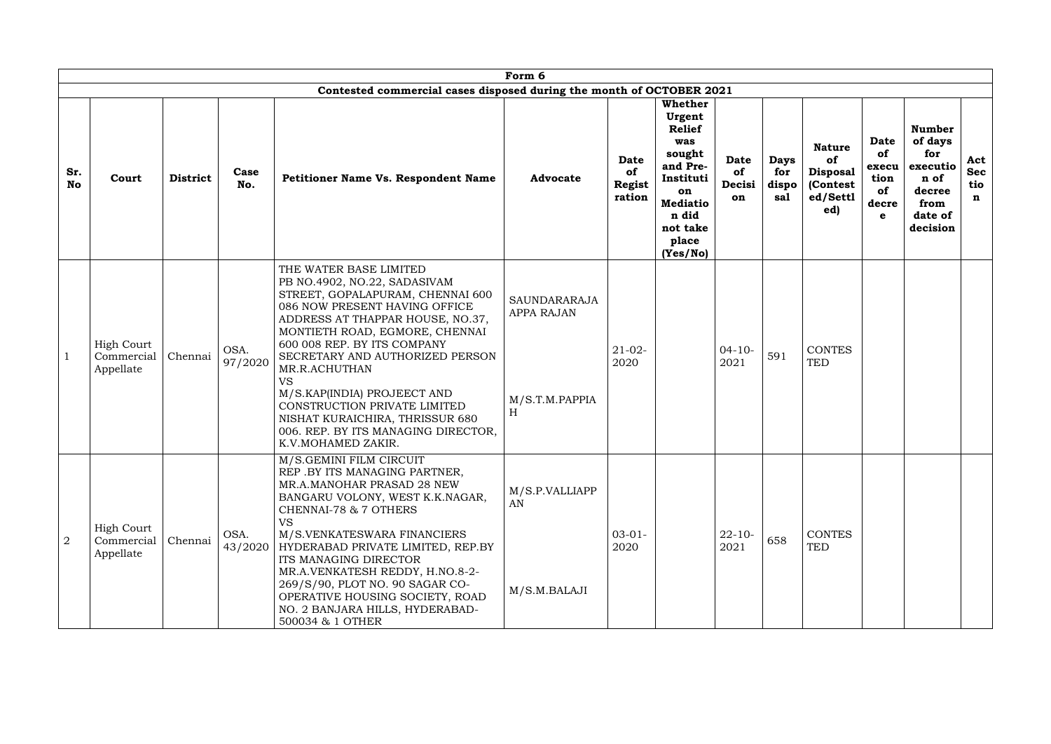|                  |                                              |                 |                 |                                                                                                                                                                                                                                                                                                                                                                                                                                                                  | Form 6                                                          |                                       |                                                                                                                                                        |                                   |                                    |                                                                        |                                                        |                                                                                              |                               |
|------------------|----------------------------------------------|-----------------|-----------------|------------------------------------------------------------------------------------------------------------------------------------------------------------------------------------------------------------------------------------------------------------------------------------------------------------------------------------------------------------------------------------------------------------------------------------------------------------------|-----------------------------------------------------------------|---------------------------------------|--------------------------------------------------------------------------------------------------------------------------------------------------------|-----------------------------------|------------------------------------|------------------------------------------------------------------------|--------------------------------------------------------|----------------------------------------------------------------------------------------------|-------------------------------|
| Sr.<br><b>No</b> | Court                                        | <b>District</b> | Case<br>No.     | Contested commercial cases disposed during the month of OCTOBER 2021<br><b>Petitioner Name Vs. Respondent Name</b>                                                                                                                                                                                                                                                                                                                                               | <b>Advocate</b>                                                 | <b>Date</b><br>of<br>Regist<br>ration | <b>Whether</b><br>Urgent<br><b>Relief</b><br>was<br>sought<br>and Pre-<br>Instituti<br>on<br><b>Mediatio</b><br>n did<br>not take<br>place<br>(Yes/No) | <b>Date</b><br>of<br>Decisi<br>on | <b>Days</b><br>for<br>dispo<br>sal | <b>Nature</b><br>of<br><b>Disposal</b><br>(Contest)<br>ed/Settl<br>ed) | <b>Date</b><br>of<br>execu<br>tion<br>of<br>decre<br>e | <b>Number</b><br>of days<br>for<br>executio<br>n of<br>decree<br>from<br>date of<br>decision | Act<br><b>Sec</b><br>tio<br>n |
|                  | <b>High Court</b><br>Commercial<br>Appellate | Chennai         | OSA.<br>97/2020 | THE WATER BASE LIMITED<br>PB NO.4902, NO.22, SADASIVAM<br>STREET, GOPALAPURAM, CHENNAI 600<br>086 NOW PRESENT HAVING OFFICE<br>ADDRESS AT THAPPAR HOUSE, NO.37,<br>MONTIETH ROAD, EGMORE, CHENNAI<br>600 008 REP. BY ITS COMPANY<br>SECRETARY AND AUTHORIZED PERSON<br>MR.R.ACHUTHAN<br><b>VS</b><br>M/S.KAP(INDIA) PROJEECT AND<br>CONSTRUCTION PRIVATE LIMITED<br>NISHAT KURAICHIRA, THRISSUR 680<br>006. REP. BY ITS MANAGING DIRECTOR,<br>K.V.MOHAMED ZAKIR. | <b>SAUNDARARAJA</b><br><b>APPA RAJAN</b><br>M/S.T.M.PAPPIA<br>H | $21-02-$<br>2020                      |                                                                                                                                                        | $04 - 10 -$<br>2021               | 591                                | <b>CONTES</b><br><b>TED</b>                                            |                                                        |                                                                                              |                               |
| $\overline{2}$   | <b>High Court</b><br>Commercial<br>Appellate | Chennai         | OSA.<br>43/2020 | M/S.GEMINI FILM CIRCUIT<br>REP .BY ITS MANAGING PARTNER,<br>MR.A.MANOHAR PRASAD 28 NEW<br>BANGARU VOLONY, WEST K.K.NAGAR,<br>CHENNAI-78 & 7 OTHERS<br><b>VS</b><br>M/S.VENKATESWARA FINANCIERS<br>HYDERABAD PRIVATE LIMITED, REP.BY<br>ITS MANAGING DIRECTOR<br>MR.A.VENKATESH REDDY, H.NO.8-2-<br>269/S/90, PLOT NO. 90 SAGAR CO-<br>OPERATIVE HOUSING SOCIETY, ROAD<br>NO. 2 BANJARA HILLS, HYDERABAD-<br>500034 & 1 OTHER                                     | M/S.P.VALLIAPP<br>AN<br>M/S.M.BALAJI                            | $03-01-$<br>2020                      |                                                                                                                                                        | $22 - 10 -$<br>2021               | 658                                | <b>CONTES</b><br><b>TED</b>                                            |                                                        |                                                                                              |                               |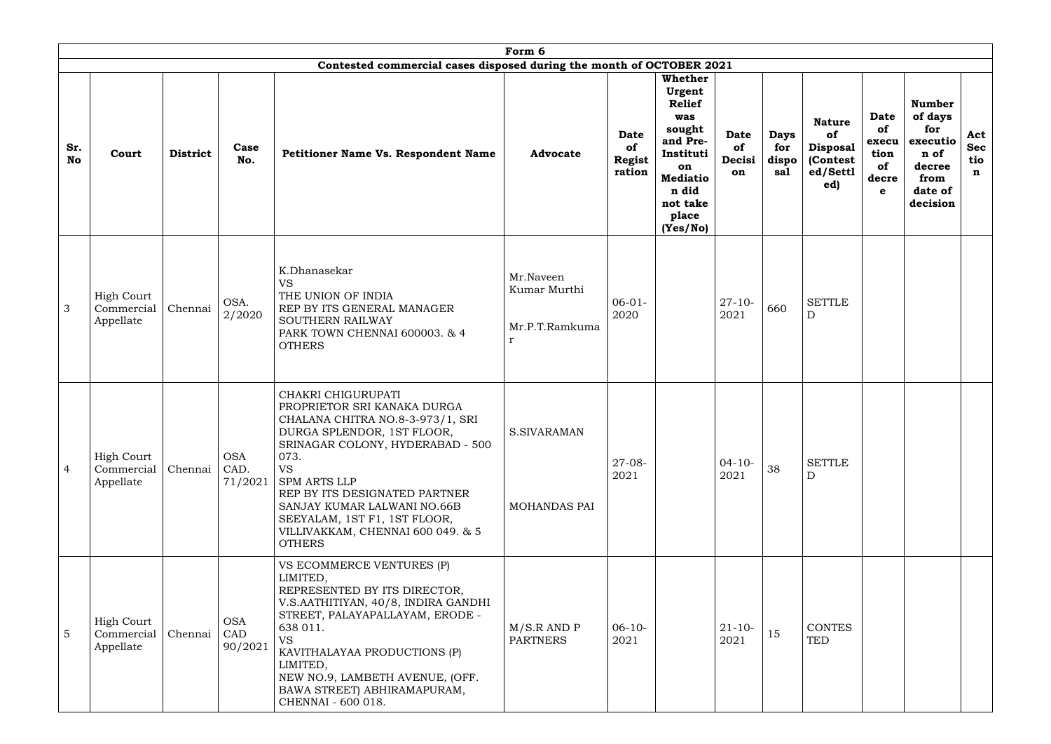|                  |                                              | Form 6<br>Contested commercial cases disposed during the month of OCTOBER 2021 |                               |                                                                                                                                                                                                                                                                                                                                                           |                                                             |                                       |                                                                                                                                                               |                                   |                                    |                                                                        |                                                 |                                                                                              |                                         |
|------------------|----------------------------------------------|--------------------------------------------------------------------------------|-------------------------------|-----------------------------------------------------------------------------------------------------------------------------------------------------------------------------------------------------------------------------------------------------------------------------------------------------------------------------------------------------------|-------------------------------------------------------------|---------------------------------------|---------------------------------------------------------------------------------------------------------------------------------------------------------------|-----------------------------------|------------------------------------|------------------------------------------------------------------------|-------------------------------------------------|----------------------------------------------------------------------------------------------|-----------------------------------------|
| Sr.<br><b>No</b> | Court                                        | <b>District</b>                                                                | Case<br>No.                   | Petitioner Name Vs. Respondent Name                                                                                                                                                                                                                                                                                                                       | <b>Advocate</b>                                             | Date<br>of<br><b>Regist</b><br>ration | <b>Whether</b><br><b>Urgent</b><br><b>Relief</b><br>was<br>sought<br>and Pre-<br>Instituti<br>on<br><b>Mediatio</b><br>n did<br>not take<br>place<br>(Yes/No) | <b>Date</b><br>of<br>Decisi<br>on | <b>Days</b><br>for<br>dispo<br>sal | <b>Nature</b><br>of<br><b>Disposal</b><br>(Contest)<br>ed/Settl<br>ed) | Date<br>of<br>execu<br>tion<br>of<br>decre<br>e | <b>Number</b><br>of days<br>for<br>executio<br>n of<br>decree<br>from<br>date of<br>decision | Act<br><b>Sec</b><br>tio<br>$\mathbf n$ |
| 3                | <b>High Court</b><br>Commercial<br>Appellate | Chennai                                                                        | OSA.<br>2/2020                | K.Dhanasekar<br><b>VS</b><br>THE UNION OF INDIA<br>REP BY ITS GENERAL MANAGER<br><b>SOUTHERN RAILWAY</b><br>PARK TOWN CHENNAI 600003. & 4<br><b>OTHERS</b>                                                                                                                                                                                                | Mr.Naveen<br>Kumar Murthi<br>Mr.P.T.Ramkuma<br>$\mathbf{r}$ | $06 - 01 -$<br>2020                   |                                                                                                                                                               | $27 - 10 -$<br>2021               | 660                                | <b>SETTLE</b><br>$\mathbf D$                                           |                                                 |                                                                                              |                                         |
| $\overline{4}$   | <b>High Court</b><br>Commercial<br>Appellate | Chennai                                                                        | <b>OSA</b><br>CAD.<br>71/2021 | CHAKRI CHIGURUPATI<br>PROPRIETOR SRI KANAKA DURGA<br>CHALANA CHITRA NO.8-3-973/1, SRI<br>DURGA SPLENDOR, 1ST FLOOR,<br>SRINAGAR COLONY, HYDERABAD - 500<br>073.<br><b>VS</b><br><b>SPM ARTS LLP</b><br>REP BY ITS DESIGNATED PARTNER<br>SANJAY KUMAR LALWANI NO.66B<br>SEEYALAM, 1ST F1, 1ST FLOOR,<br>VILLIVAKKAM, CHENNAI 600 049. & 5<br><b>OTHERS</b> | S.SIVARAMAN<br>MOHANDAS PAI                                 | $27-08-$<br>2021                      |                                                                                                                                                               | $04 - 10 -$<br>2021               | 38                                 | <b>SETTLE</b><br>D                                                     |                                                 |                                                                                              |                                         |
| 5                | <b>High Court</b><br>Commercial<br>Appellate | Chennai                                                                        | <b>OSA</b><br>CAD<br>90/2021  | VS ECOMMERCE VENTURES (P)<br>LIMITED,<br>REPRESENTED BY ITS DIRECTOR,<br>V.S.AATHITIYAN, 40/8, INDIRA GANDHI<br>STREET, PALAYAPALLAYAM, ERODE -<br>638 011.<br><b>VS</b><br>KAVITHALAYAA PRODUCTIONS (P)<br>LIMITED,<br>NEW NO.9, LAMBETH AVENUE, (OFF.<br>BAWA STREET) ABHIRAMAPURAM,<br>CHENNAI - 600 018.                                              | M/S.R AND P<br><b>PARTNERS</b>                              | $06-10-$<br>2021                      |                                                                                                                                                               | $21 - 10 -$<br>2021               | 15                                 | <b>CONTES</b><br><b>TED</b>                                            |                                                 |                                                                                              |                                         |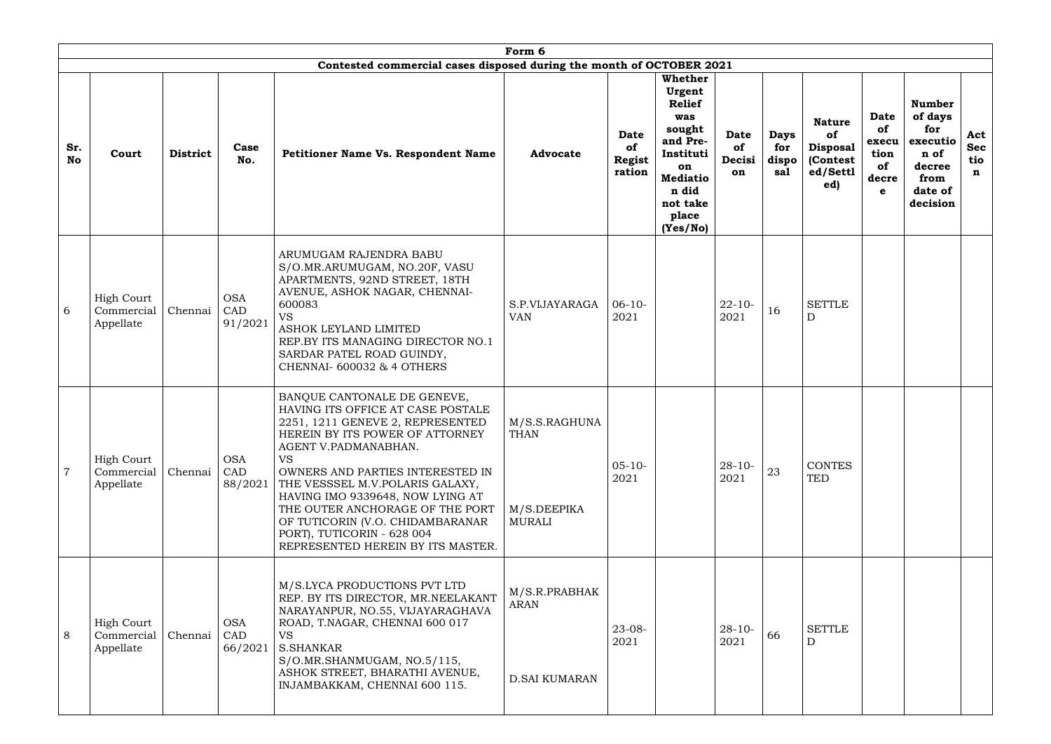|                  |                                              |                 |                              |                                                                                                                                                                                                                                                                                                                                                                                                                                   | Form 6                                                |                                       |                                                                                                                                                        |                                   |                                    |                                                                       |                                                        |                                                                                              |                               |
|------------------|----------------------------------------------|-----------------|------------------------------|-----------------------------------------------------------------------------------------------------------------------------------------------------------------------------------------------------------------------------------------------------------------------------------------------------------------------------------------------------------------------------------------------------------------------------------|-------------------------------------------------------|---------------------------------------|--------------------------------------------------------------------------------------------------------------------------------------------------------|-----------------------------------|------------------------------------|-----------------------------------------------------------------------|--------------------------------------------------------|----------------------------------------------------------------------------------------------|-------------------------------|
| Sr.<br><b>No</b> | Court                                        | <b>District</b> | Case<br>No.                  | Contested commercial cases disposed during the month of OCTOBER 2021<br><b>Petitioner Name Vs. Respondent Name</b>                                                                                                                                                                                                                                                                                                                | <b>Advocate</b>                                       | <b>Date</b><br>of<br>Regist<br>ration | <b>Whether</b><br>Urgent<br><b>Relief</b><br>was<br>sought<br>and Pre-<br>Instituti<br>on<br><b>Mediatio</b><br>n did<br>not take<br>place<br>(Yes/No) | <b>Date</b><br>of<br>Decisi<br>on | <b>Days</b><br>for<br>dispo<br>sal | <b>Nature</b><br>of<br><b>Disposal</b><br>(Contest<br>ed/Settl<br>ed) | <b>Date</b><br>of<br>execu<br>tion<br>of<br>decre<br>e | <b>Number</b><br>of days<br>for<br>executio<br>n of<br>decree<br>from<br>date of<br>decision | Act<br><b>Sec</b><br>tio<br>n |
| 6                | <b>High Court</b><br>Commercial<br>Appellate | Chennai         | <b>OSA</b><br>CAD<br>91/2021 | ARUMUGAM RAJENDRA BABU<br>S/O.MR.ARUMUGAM, NO.20F, VASU<br>APARTMENTS, 92ND STREET, 18TH<br>AVENUE, ASHOK NAGAR, CHENNAI-<br>600083<br><b>VS</b><br>ASHOK LEYLAND LIMITED<br>REP.BY ITS MANAGING DIRECTOR NO.1<br>SARDAR PATEL ROAD GUINDY,<br><b>CHENNAI- 600032 &amp; 4 OTHERS</b>                                                                                                                                              | S.P.VIJAYARAGA<br><b>VAN</b>                          | $06-10-$<br>2021                      |                                                                                                                                                        | $22 - 10$<br>2021                 | 16                                 | <b>SETTLE</b><br>D                                                    |                                                        |                                                                                              |                               |
| $\overline{7}$   | <b>High Court</b><br>Commercial<br>Appellate | Chennai         | <b>OSA</b><br>CAD<br>88/2021 | BANQUE CANTONALE DE GENEVE,<br>HAVING ITS OFFICE AT CASE POSTALE<br>2251, 1211 GENEVE 2, REPRESENTED<br>HEREIN BY ITS POWER OF ATTORNEY<br>AGENT V.PADMANABHAN.<br><b>VS</b><br>OWNERS AND PARTIES INTERESTED IN<br>THE VESSSEL M.V.POLARIS GALAXY,<br>HAVING IMO 9339648, NOW LYING AT<br>THE OUTER ANCHORAGE OF THE PORT<br>OF TUTICORIN (V.O. CHIDAMBARANAR<br>PORT), TUTICORIN - 628 004<br>REPRESENTED HEREIN BY ITS MASTER. | M/S.S.RAGHUNA<br><b>THAN</b><br>M/S.DEEPIKA<br>MURALI | $05 - 10 -$<br>2021                   |                                                                                                                                                        | $28 - 10 -$<br>2021               | 23                                 | <b>CONTES</b><br><b>TED</b>                                           |                                                        |                                                                                              |                               |
| 8                | <b>High Court</b><br>Commercial<br>Appellate | Chennai         | <b>OSA</b><br>CAD<br>66/2021 | M/S.LYCA PRODUCTIONS PVT LTD<br>REP. BY ITS DIRECTOR, MR.NEELAKANT<br>NARAYANPUR, NO.55, VIJAYARAGHAVA<br>ROAD, T.NAGAR, CHENNAI 600 017<br><b>VS</b><br><b>S.SHANKAR</b><br>S/O.MR.SHANMUGAM, NO.5/115,<br>ASHOK STREET, BHARATHI AVENUE,<br>INJAMBAKKAM, CHENNAI 600 115.                                                                                                                                                       | M/S.R.PRABHAK<br><b>ARAN</b><br><b>D.SAI KUMARAN</b>  | $23 - 08 -$<br>2021                   |                                                                                                                                                        | $28 - 10 -$<br>2021               | 66                                 | <b>SETTLE</b><br>D                                                    |                                                        |                                                                                              |                               |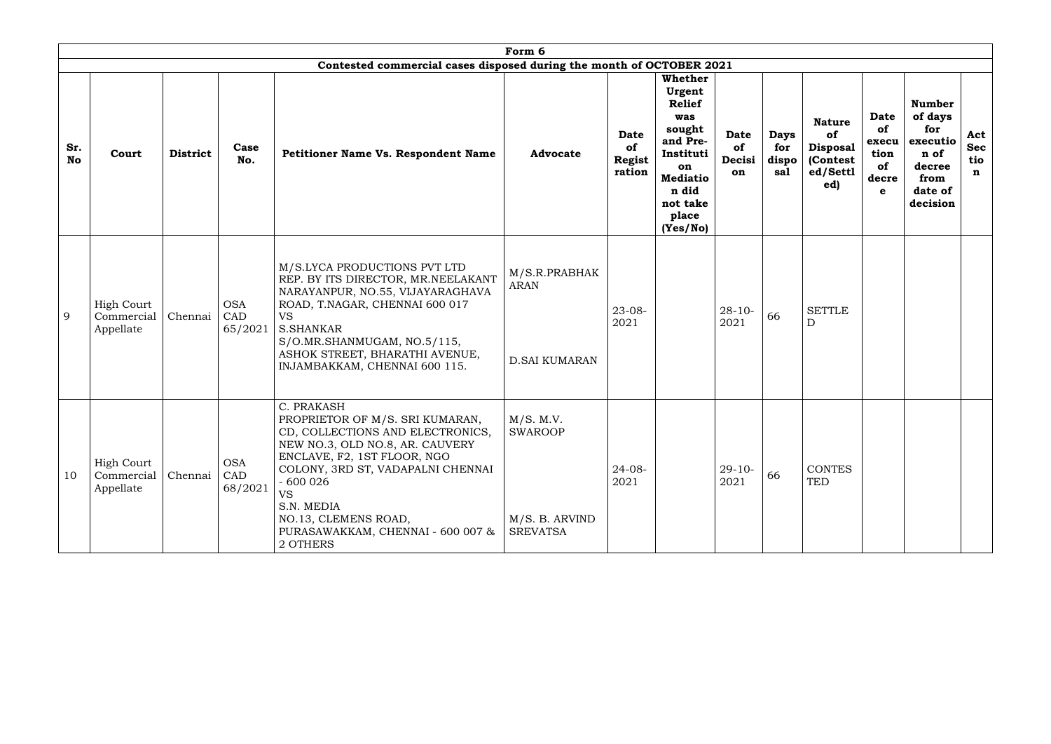|                  |                                              |                 |                              |                                                                                                                                                                                                                                                                                                           | Form 6                                                           |                                       |                                                                                                                                                        |                                   |                                    |                                                                        |                                                 |                                                                                              |                               |
|------------------|----------------------------------------------|-----------------|------------------------------|-----------------------------------------------------------------------------------------------------------------------------------------------------------------------------------------------------------------------------------------------------------------------------------------------------------|------------------------------------------------------------------|---------------------------------------|--------------------------------------------------------------------------------------------------------------------------------------------------------|-----------------------------------|------------------------------------|------------------------------------------------------------------------|-------------------------------------------------|----------------------------------------------------------------------------------------------|-------------------------------|
|                  |                                              |                 |                              | Contested commercial cases disposed during the month of OCTOBER 2021                                                                                                                                                                                                                                      |                                                                  |                                       |                                                                                                                                                        |                                   |                                    |                                                                        |                                                 |                                                                                              |                               |
| Sr.<br><b>No</b> | Court                                        | <b>District</b> | Case<br>No.                  | Petitioner Name Vs. Respondent Name                                                                                                                                                                                                                                                                       | <b>Advocate</b>                                                  | Date<br>of<br><b>Regist</b><br>ration | <b>Whether</b><br>Urgent<br><b>Relief</b><br>was<br>sought<br>and Pre-<br>Instituti<br>on<br><b>Mediatio</b><br>n did<br>not take<br>place<br>(Yes/No) | <b>Date</b><br>of<br>Decisi<br>on | <b>Days</b><br>for<br>dispo<br>sa1 | <b>Nature</b><br>of<br><b>Disposal</b><br>(Contest)<br>ed/Settl<br>ed) | Date<br>of<br>execu<br>tion<br>of<br>decre<br>e | <b>Number</b><br>of days<br>for<br>executio<br>n of<br>decree<br>from<br>date of<br>decision | Act<br><b>Sec</b><br>tio<br>n |
| 9                | <b>High Court</b><br>Commercial<br>Appellate | Chennai         | <b>OSA</b><br>CAD<br>65/2021 | M/S.LYCA PRODUCTIONS PVT LTD<br>REP. BY ITS DIRECTOR, MR.NEELAKANT<br>NARAYANPUR, NO.55, VIJAYARAGHAVA<br>ROAD, T.NAGAR, CHENNAI 600 017<br><b>VS</b><br><b>S.SHANKAR</b><br>S/O.MR.SHANMUGAM, NO.5/115,<br>ASHOK STREET, BHARATHI AVENUE,<br>INJAMBAKKAM, CHENNAI 600 115.                               | M/S.R.PRABHAK<br><b>ARAN</b><br><b>D.SAI KUMARAN</b>             | $23 - 08 -$<br>2021                   |                                                                                                                                                        | $28 - 10 -$<br>2021               | 66                                 | <b>SETTLE</b><br>$\mathbf D$                                           |                                                 |                                                                                              |                               |
| 10               | <b>High Court</b><br>Commercial<br>Appellate | Chennai         | <b>OSA</b><br>CAD<br>68/2021 | C. PRAKASH<br>PROPRIETOR OF M/S. SRI KUMARAN,<br>CD, COLLECTIONS AND ELECTRONICS,<br>NEW NO.3, OLD NO.8, AR. CAUVERY<br>ENCLAVE, F2, 1ST FLOOR, NGO<br>COLONY, 3RD ST, VADAPALNI CHENNAI<br>$-600026$<br><b>VS</b><br>S.N. MEDIA<br>NO.13, CLEMENS ROAD,<br>PURASAWAKKAM, CHENNAI - 600 007 &<br>2 OTHERS | M/S. M.V.<br><b>SWAROOP</b><br>M/S. B. ARVIND<br><b>SREVATSA</b> | $24 - 08 -$<br>2021                   |                                                                                                                                                        | $29 - 10 -$<br>2021               | 66                                 | <b>CONTES</b><br>TED                                                   |                                                 |                                                                                              |                               |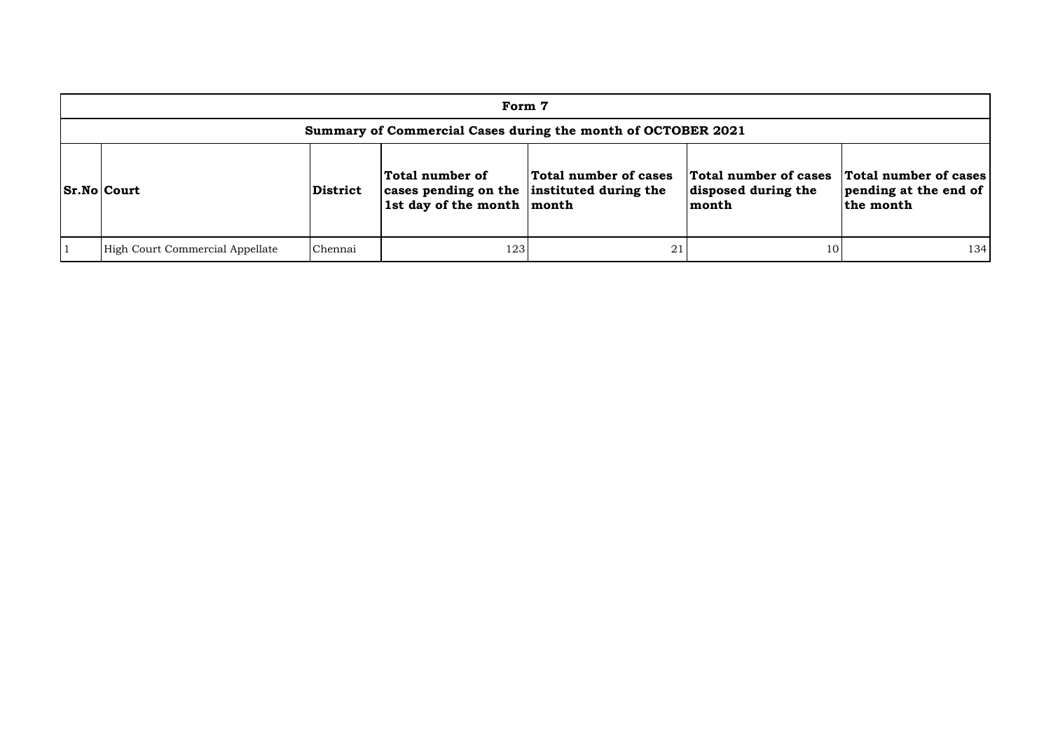| Form 7                                                       |                 |                                                                                             |                       |                                                       |                                                             |  |  |  |  |  |  |
|--------------------------------------------------------------|-----------------|---------------------------------------------------------------------------------------------|-----------------------|-------------------------------------------------------|-------------------------------------------------------------|--|--|--|--|--|--|
| Summary of Commercial Cases during the month of OCTOBER 2021 |                 |                                                                                             |                       |                                                       |                                                             |  |  |  |  |  |  |
| <b>Sr.No Court</b>                                           | <b>District</b> | Total number of<br>cases pending on the instituted during the<br>1st day of the month month | Total number of cases | Total number of cases<br>disposed during the<br>month | Total number of cases<br>pending at the end of<br>the month |  |  |  |  |  |  |
| High Court Commercial Appellate                              | Chennai         | 123                                                                                         |                       | 10                                                    | 134                                                         |  |  |  |  |  |  |

| cases<br>the | <b>Total number of cases</b><br>pending at the end of<br>the month |
|--------------|--------------------------------------------------------------------|
|              |                                                                    |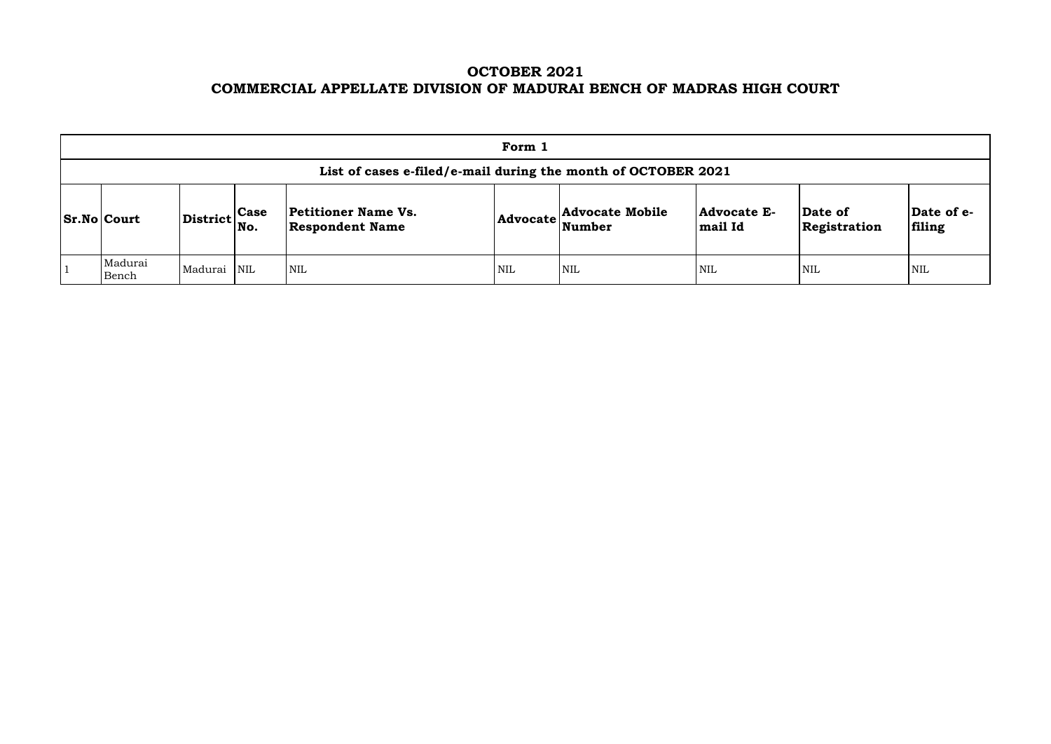# **OCTOBER 2021 COMMERCIAL APPELLATE DIVISION OF MADURAI BENCH OF MADRAS HIGH COURT**

| Form 1                                                        |                                                             |  |                                               |     |                                                            |                               |                         |                     |  |  |  |  |  |
|---------------------------------------------------------------|-------------------------------------------------------------|--|-----------------------------------------------|-----|------------------------------------------------------------|-------------------------------|-------------------------|---------------------|--|--|--|--|--|
| List of cases e-filed/e-mail during the month of OCTOBER 2021 |                                                             |  |                                               |     |                                                            |                               |                         |                     |  |  |  |  |  |
| <b>Sr.No Court</b>                                            | $\left  \text{District} \right _{\text{No.}}^{\text{Case}}$ |  | Petitioner Name Vs.<br><b>Respondent Name</b> |     | <b>Advocate Mobile</b><br>$ {\bf Advocate} \text{Number} $ | <b>Advocate E-</b><br>mail Id | Date of<br>Registration | $ {\bf Da}$<br>fili |  |  |  |  |  |
| Madurai<br>Bench                                              | Madurai NIL                                                 |  | <b>NIL</b>                                    | NIL | <b>NIL</b>                                                 | <b>NIL</b>                    | <b>NIL</b>              | NIL                 |  |  |  |  |  |

| Date of<br>Registration | Date of e-<br>filing |
|-------------------------|----------------------|
| NIL                     | NH.                  |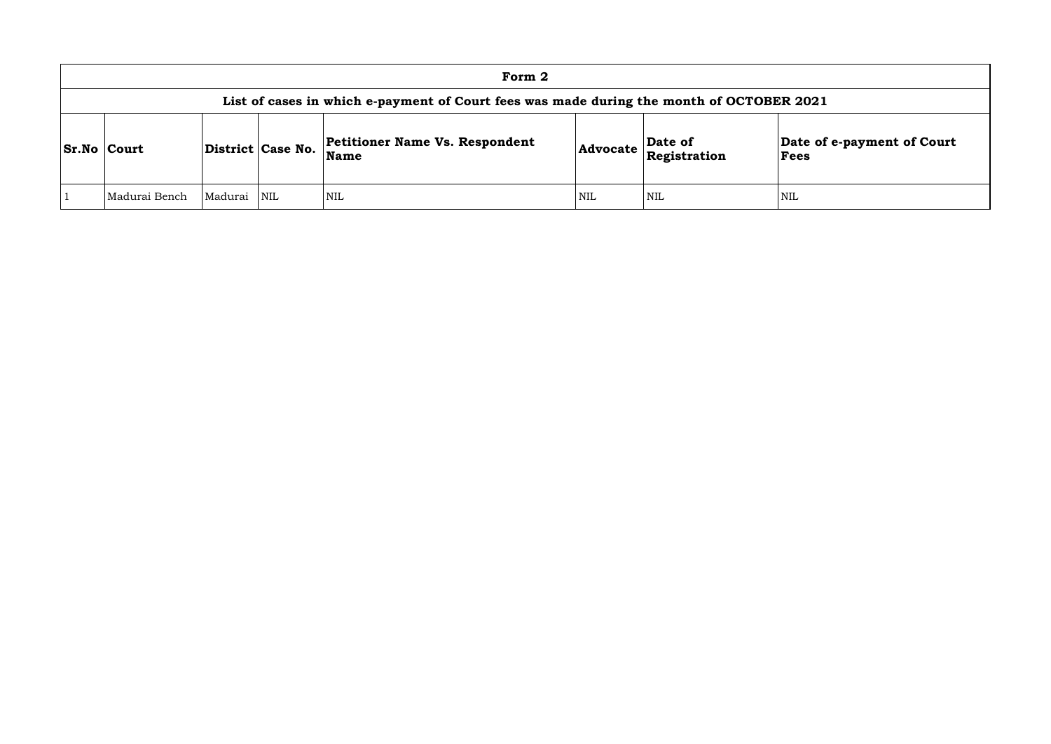|                    | Form 2                                                                                   |         |                   |                                                      |            |                                                                |                        |  |  |  |  |  |  |
|--------------------|------------------------------------------------------------------------------------------|---------|-------------------|------------------------------------------------------|------------|----------------------------------------------------------------|------------------------|--|--|--|--|--|--|
|                    | List of cases in which e-payment of Court fees was made during the month of OCTOBER 2021 |         |                   |                                                      |            |                                                                |                        |  |  |  |  |  |  |
| <b>Sr.No Court</b> |                                                                                          |         | District Case No. | <b>Petitioner Name Vs. Respondent</b><br><b>Name</b> |            | Date of<br>$ {\bf Advocate}\> {\bf \widetilde{Registration}} $ | Date of<br><b>Fees</b> |  |  |  |  |  |  |
|                    | Madurai Bench                                                                            | Madurai | NIL               | <b>NIL</b>                                           | <b>NIL</b> | <b>NIL</b>                                                     | <b>NIL</b>             |  |  |  |  |  |  |

# **Date of e-payment of Court Fees**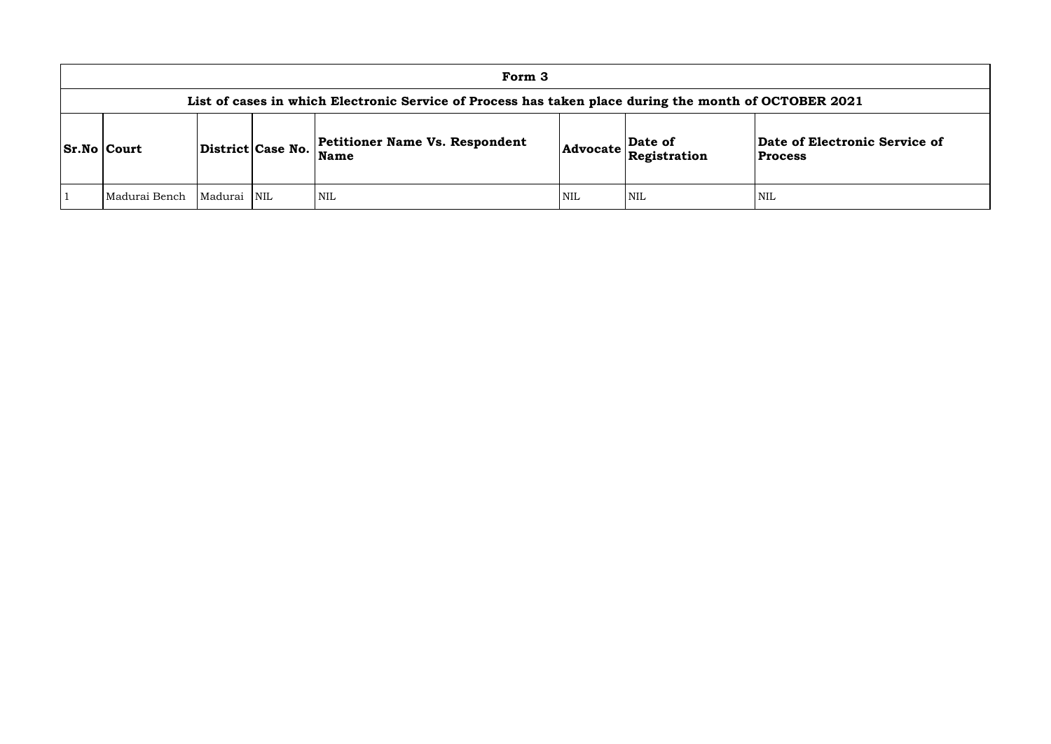## **of Electronic Service of Process**

| Form 3                                                                                                |                   |                         |                                                      |            |                                                                       |                                    |  |  |  |  |  |  |
|-------------------------------------------------------------------------------------------------------|-------------------|-------------------------|------------------------------------------------------|------------|-----------------------------------------------------------------------|------------------------------------|--|--|--|--|--|--|
| List of cases in which Electronic Service of Process has taken place during the month of OCTOBER 2021 |                   |                         |                                                      |            |                                                                       |                                    |  |  |  |  |  |  |
| <b>Sr.No Court</b>                                                                                    | District Case No. |                         | <b>Petitioner Name Vs. Respondent</b><br><b>Name</b> |            | $\left  \text{Advocate} \right $ $\left  \text{Resistration} \right $ | Date of Electron<br><b>Process</b> |  |  |  |  |  |  |
| Madurai Bench                                                                                         | Madurai           | $\overline{\text{NIL}}$ | NIL                                                  | <b>NIL</b> | <b>NIL</b>                                                            | <b>NIL</b>                         |  |  |  |  |  |  |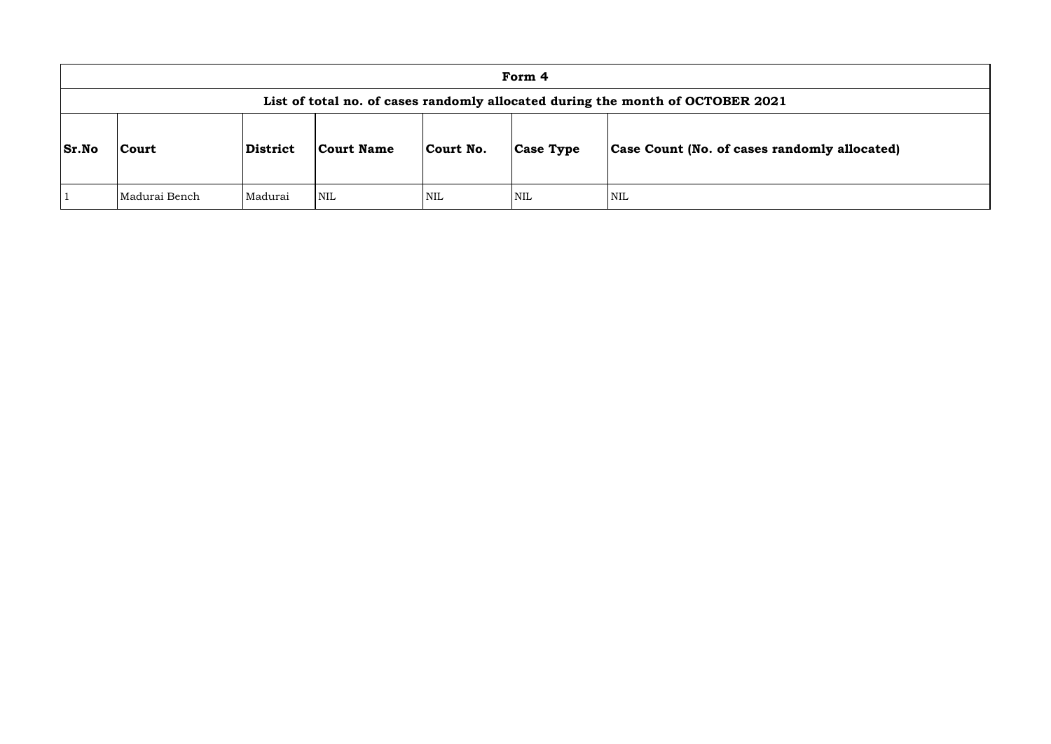|              | Form 4                                                                         |                 |            |            |                  |                                      |  |  |  |  |  |  |
|--------------|--------------------------------------------------------------------------------|-----------------|------------|------------|------------------|--------------------------------------|--|--|--|--|--|--|
|              | List of total no. of cases randomly allocated during the month of OCTOBER 2021 |                 |            |            |                  |                                      |  |  |  |  |  |  |
| <b>Sr.No</b> | <b>Court</b>                                                                   | <b>District</b> | Court Name | Court No.  | <b>Case Type</b> | <b>Case Count (No. of cases rand</b> |  |  |  |  |  |  |
|              | Madurai Bench                                                                  | Madurai         | <b>NIL</b> | <b>NIL</b> | <b>NIL</b>       | <b>NIL</b>                           |  |  |  |  |  |  |

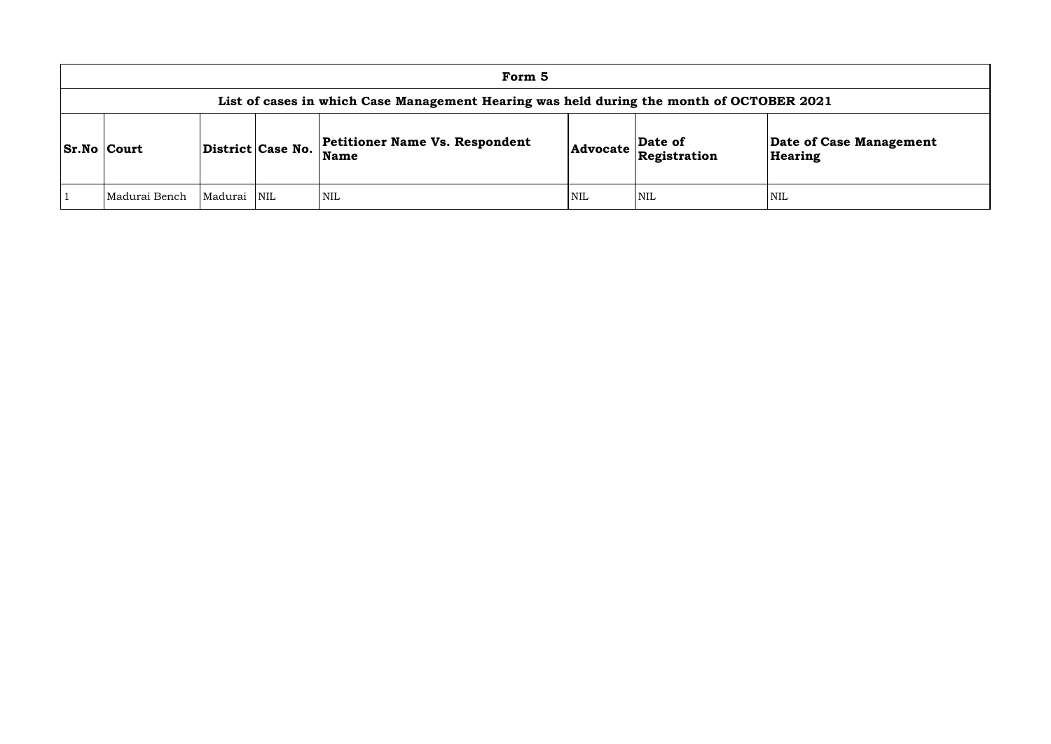| Form 5                                                                                   |         |                   |                                                      |            |                         |                              |  |  |  |  |  |  |
|------------------------------------------------------------------------------------------|---------|-------------------|------------------------------------------------------|------------|-------------------------|------------------------------|--|--|--|--|--|--|
| List of cases in which Case Management Hearing was held during the month of OCTOBER 2021 |         |                   |                                                      |            |                         |                              |  |  |  |  |  |  |
| <b>Sr.No Court</b>                                                                       |         | District Case No. | <b>Petitioner Name Vs. Respondent</b><br><b>Name</b> | Advocate   | Date of<br>Registration | Date of Ca<br><b>Hearing</b> |  |  |  |  |  |  |
| Madurai Bench                                                                            | Madurai | <b>NIL</b>        | <b>NIL</b>                                           | <b>NIL</b> | <b>NIL</b>              | <b>NIL</b>                   |  |  |  |  |  |  |

**e of Case Management** ring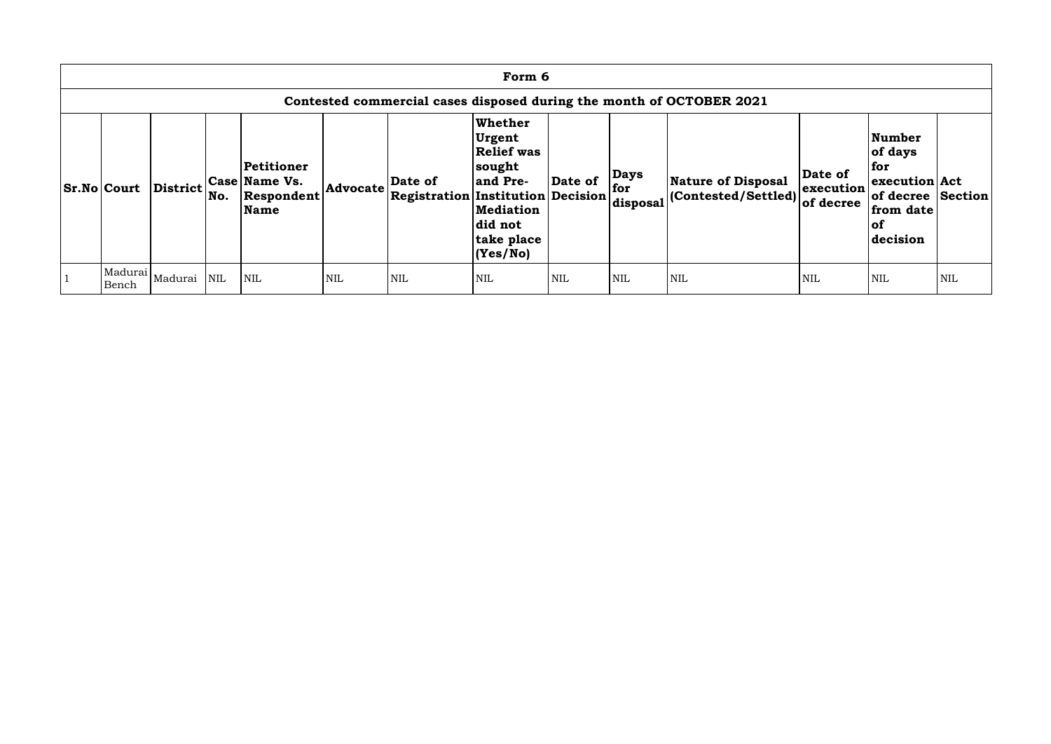| Form 6                                                               |                             |            |                                                          |            |                                                     |                                                                                                                                |            |                                  |                                                   |                                   |                                                                                                          |            |  |  |
|----------------------------------------------------------------------|-----------------------------|------------|----------------------------------------------------------|------------|-----------------------------------------------------|--------------------------------------------------------------------------------------------------------------------------------|------------|----------------------------------|---------------------------------------------------|-----------------------------------|----------------------------------------------------------------------------------------------------------|------------|--|--|
| Contested commercial cases disposed during the month of OCTOBER 2021 |                             |            |                                                          |            |                                                     |                                                                                                                                |            |                                  |                                                   |                                   |                                                                                                          |            |  |  |
| <b>Sr.No Court</b>                                                   | <b>District</b>             | No.        | Petitioner<br><b>Case Name Vs.</b><br>Respondent<br>Name | Advocate   | Date of<br><b>Registration Institution Decision</b> | Whether<br><b>Urgent</b><br><b>Relief was</b><br> sought<br>and Pre-<br><b>Mediation</b><br>did not<br>take place<br> (Yes/No) | Date of    | <b>Days</b><br>  for<br>disposal | Nature of Disposal<br>$ $ (Contested/Settled) $ $ | Date of<br>execution<br>of decree | <b>Number</b><br>of days<br>for<br>execution Act<br>of decree Section<br>from date<br>$ $ of<br>decision |            |  |  |
| Bench                                                                | Madurai  <sub>Madurai</sub> | <b>NIL</b> | <b>NIL</b>                                               | <b>NIL</b> | <b>NIL</b>                                          | <b>NIL</b>                                                                                                                     | <b>NIL</b> | <b>NIL</b>                       | <b>NIL</b>                                        | <b>NIL</b>                        | <b>NIL</b>                                                                                               | <b>NIL</b> |  |  |